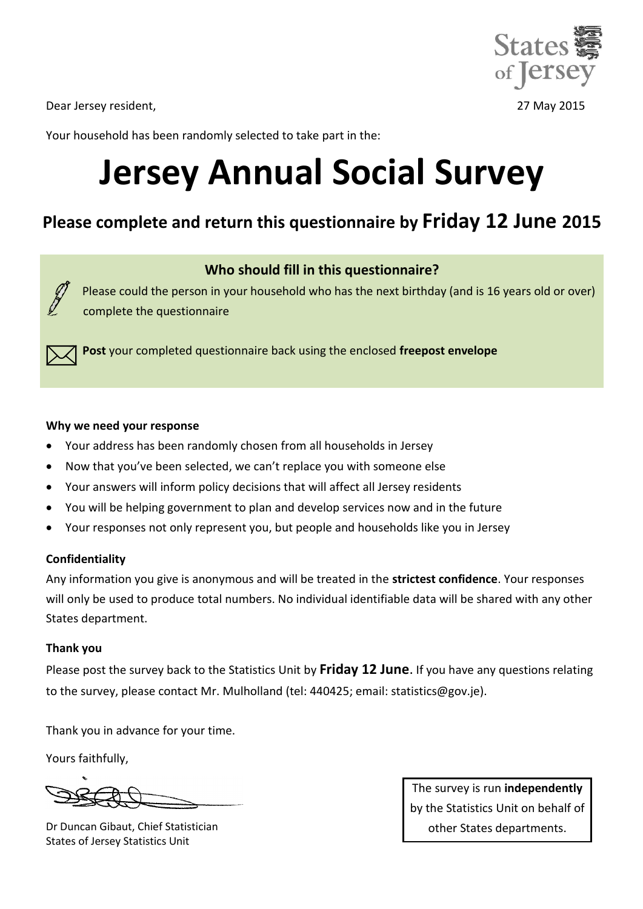

Dear Jersey resident, 27 May 2015

Your household has been randomly selected to take part in the:

# **Jersey Annual Social Survey**

# **Please complete and return this questionnaire by Friday 12 June 2015**

### **Who should fill in this questionnaire?**

Please could the person in your household who has the next birthday (and is 16 years old or over) complete the questionnaire

 **Post** your completed questionnaire back using the enclosed **freepost envelope**

#### **Why we need your response**

- Your address has been randomly chosen from all households in Jersey
- Now that you've been selected, we can't replace you with someone else
- Your answers will inform policy decisions that will affect all Jersey residents
- You will be helping government to plan and develop services now and in the future
- Your responses not only represent you, but people and households like you in Jersey

#### **Confidentiality**

Any information you give is anonymous and will be treated in the **strictest confidence**. Your responses will only be used to produce total numbers. No individual identifiable data will be shared with any other States department.

#### **Thank you**

Please post the survey back to the Statistics Unit by **Friday 12 June**. If you have any questions relating to the survey, please contact Mr. Mulholland (tel: 440425; email: statistics@gov.je).

Thank you in advance for your time.

Yours faithfully,

Dr Duncan Gibaut, Chief Statistician States of Jersey Statistics Unit

The survey is run **independently** by the Statistics Unit on behalf of other States departments.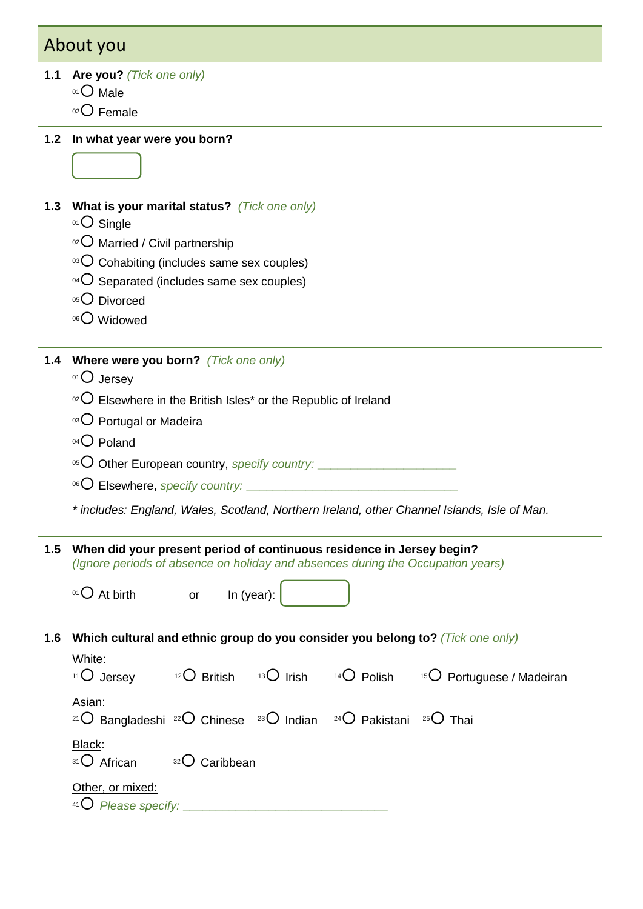# About you

#### **1.1 Are you?** *(Tick one only)*

- 01 O Male
- 02 Female

**1.2 In what year were you born?**

#### **1.3 What is your marital status?** *(Tick one only)*

- $01$  Single
- $02$  Married / Civil partnership
- $03$  Cohabiting (includes same sex couples)
- $04$  Separated (includes same sex couples)
- 05<sup>O</sup> Divorced
- 06<sup>O</sup> Widowed

**1.4 Where were you born?** *(Tick one only)*

- 01 Jersey
- $102$  Elsewhere in the British Isles\* or the Republic of Ireland
- 03 O Portugal or Madeira
- $04$  Poland
- 05 O Other European country, *specify country:* **\_\_\_\_\_\_\_\_\_\_\_\_\_\_\_\_\_\_\_\_\_**
- 06 Elsewhere, *specify country:* **\_\_\_\_\_\_\_\_\_\_\_\_**

*\* includes: England, Wales, Scotland, Northern Ireland, other Channel Islands, Isle of Man.*

**1.5 When did your present period of continuous residence in Jersey begin?** *(Ignore periods of absence on holiday and absences during the Occupation years)*

 $\overline{O}$  At birth or In (year):

**1.6 Which cultural and ethnic group do you consider you belong to?** *(Tick one only)*

| White:<br><sup>11</sup> O Jersey                                                                                                    | $12$ British              | $13\bigcirc$ Irish $14\bigcirc$ Polish | <sup>15</sup> $\bigcirc$ Portuguese / Madeiran |
|-------------------------------------------------------------------------------------------------------------------------------------|---------------------------|----------------------------------------|------------------------------------------------|
| Asian:<br><sup>21</sup> O Bangladeshi <sup>22</sup> O Chinese <sup>23</sup> O Indian <sup>24</sup> O Pakistani <sup>25</sup> O Thai |                           |                                        |                                                |
| Black:<br>31 O African                                                                                                              | <sup>32</sup> O Caribbean |                                        |                                                |
| Other, or mixed:<br>$41O$ Please specify:                                                                                           |                           |                                        |                                                |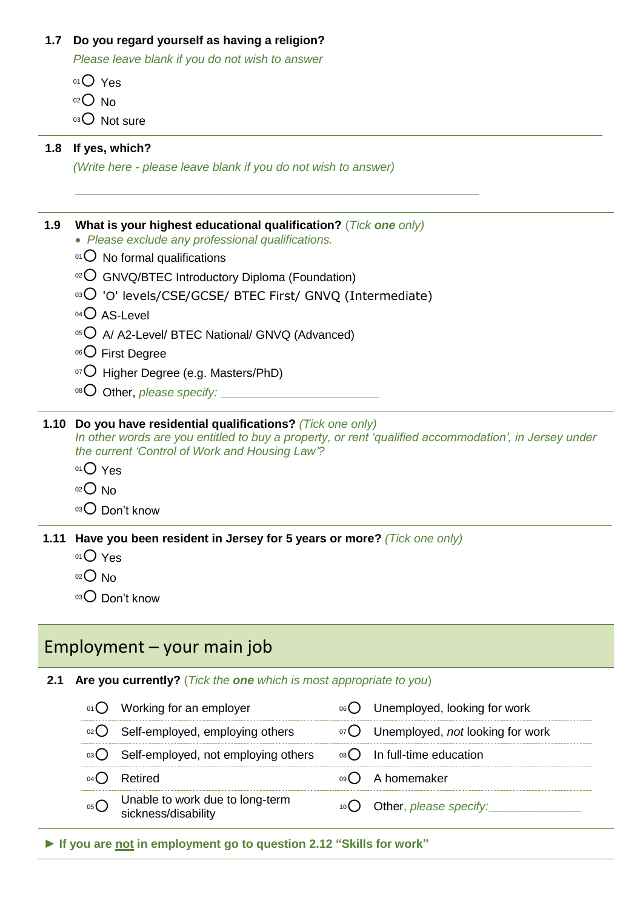#### **1.7 Do you regard yourself as having a religion?**

*Please leave blank if you do not wish to answer*

- 01 Yes
- $02$  No
- 03 Not sure

#### **1.8 If yes, which?**

*(Write here - please leave blank if you do not wish to answer)*

#### **1.9 What is your highest educational qualification?** (*Tick one only)*

- *Please exclude any professional qualifications.*
- $01$  No formal qualifications
- $102$  GNVQ/BTEC Introductory Diploma (Foundation)
- 03 'O' levels/CSE/GCSE/ BTEC First/ GNVQ (Intermediate)

*\_\_\_\_\_\_\_\_\_\_\_\_\_\_\_\_\_\_\_\_\_\_\_\_\_\_\_\_\_\_\_\_\_\_\_\_\_\_\_\_\_\_\_\_\_\_\_\_*

- $04$  AS-Level
- 05 A A2-Level/ BTEC National/ GNVQ (Advanced)
- 06<sup>O</sup> First Degree
- $07$  Higher Degree (e.g. Masters/PhD)
- <sup>08</sup> Other, *please specify:*

#### **1.10 Do you have residential qualifications?** *(Tick one only)*

*In other words are you entitled to buy a property, or rent 'qualified accommodation', in Jersey under the current 'Control of Work and Housing Law'?*

- $01$  Yes
- $02$  No
- $03$  Don't know

**1.11 Have you been resident in Jersey for 5 years or more?** *(Tick one only)*

- 01 Yes
- $02$  No
- $03$  Don't know

### Employment – your main job

#### **2.1 Are you currently?** (*Tick the one which is most appropriate to you*)

|      | $01^\circ$ Working for an employer                     | 06 Unemployed, looking for work               |
|------|--------------------------------------------------------|-----------------------------------------------|
|      | 02 Self-employed, employing others                     | 07 Unemployed, not looking for work           |
|      | ®3○ Self-employed, not employing others                | $\circ$ <sup>8</sup> O In full-time education |
|      | Retired                                                | 09 A homemaker                                |
| 05() | Unable to work due to long-term<br>sickness/disability | 10 Other, please specify:                     |

**► If you are not in employment go to question 2.12 "Skills for work"**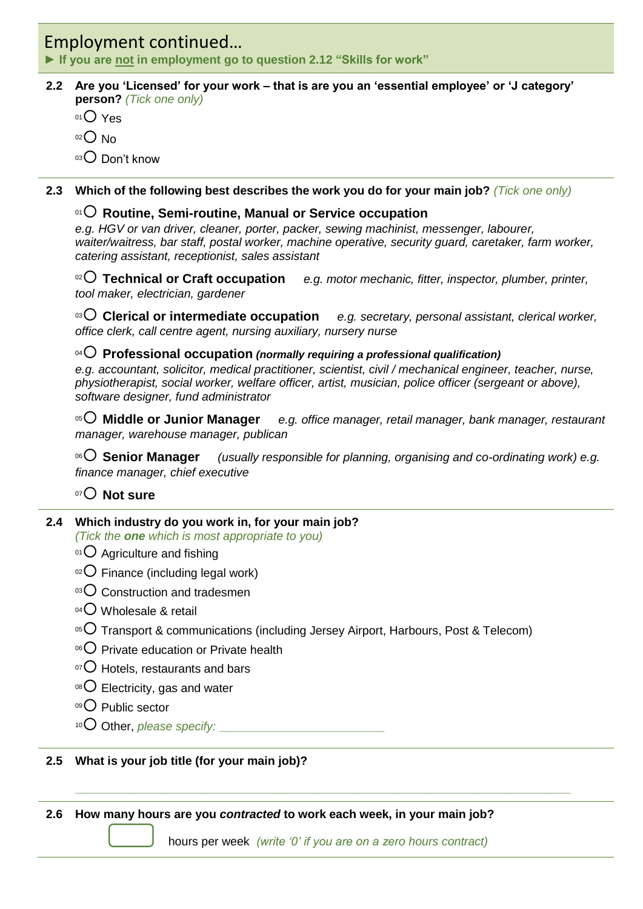### Employment continued…

**► If you are not in employment go to question 2.12 "Skills for work"**

#### **2.2 Are you 'Licensed' for your work – that is are you an 'essential employee' or 'J category' person?** *(Tick one only)*

- $01$  Yes
- $02$  No
- 03 Don't know
- **2.3 Which of the following best describes the work you do for your main job?** *(Tick one only)*

#### <sup>01</sup> **Routine, Semi-routine, Manual or Service occupation**

*e.g. HGV or van driver, cleaner, porter, packer, sewing machinist, messenger, labourer, waiter/waitress, bar staff, postal worker, machine operative, security guard, caretaker, farm worker, catering assistant, receptionist, sales assistant*

<sup>02</sup> **Technical or Craft occupation** *e.g. motor mechanic, fitter, inspector, plumber, printer, tool maker, electrician, gardener*

<sup>03</sup> **Clerical or intermediate occupation** *e.g. secretary, personal assistant, clerical worker, office clerk, call centre agent, nursing auxiliary, nursery nurse*

#### <sup>04</sup> **Professional occupation** *(normally requiring a professional qualification)*

*e.g. accountant, solicitor, medical practitioner, scientist, civil / mechanical engineer, teacher, nurse, physiotherapist, social worker, welfare officer, artist, musician, police officer (sergeant or above), software designer, fund administrator*

<sup>05</sup> **Middle or Junior Manager** *e.g. office manager, retail manager, bank manager, restaurant manager, warehouse manager, publican*

<sup>06</sup> **Senior Manager** *(usually responsible for planning, organising and co-ordinating work) e.g. finance manager, chief executive* 

#### <sup>07</sup> **Not sure**

#### **2.4 Which industry do you work in, for your main job?**

*(Tick the one which is most appropriate to you)*

- $01$  Agriculture and fishing
- $02$  Finance (including legal work)
- $03$  Construction and tradesmen
- $04$  Wholesale & retail
- $105$  Transport & communications (including Jersey Airport, Harbours, Post & Telecom)
- $06$  Private education or Private health
- $\rm{O}$  Hotels, restaurants and bars
- $08$  Electricity, gas and water
- 09 Public sector
- <sup>10</sup> Other, *please specify:* **\_\_\_\_\_\_\_\_\_\_\_\_\_\_\_\_\_\_\_\_\_\_\_\_\_**

#### **2.5 What is your job title (for your main job)?**

**2.6 How many hours are you** *contracted* **to work each week, in your main job?** 

hours per week *(write '0' if you are on a zero hours contract)* 

**\_\_\_\_\_\_\_\_\_\_\_\_\_\_\_\_\_\_\_\_\_\_\_\_\_\_\_\_\_\_\_\_\_\_\_\_\_\_\_\_\_\_\_\_\_\_\_\_\_\_\_\_\_\_\_\_\_\_\_\_\_\_\_\_\_\_\_\_\_\_\_\_\_\_\_**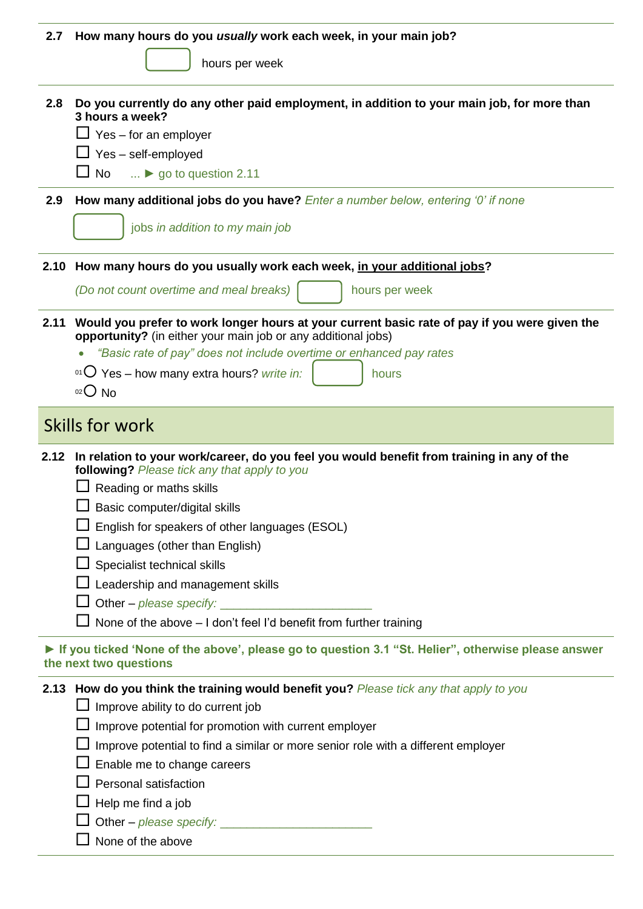| 2.7  | How many hours do you usually work each week, in your main job?                                                                                                                                                                                                                                                                |
|------|--------------------------------------------------------------------------------------------------------------------------------------------------------------------------------------------------------------------------------------------------------------------------------------------------------------------------------|
|      | hours per week                                                                                                                                                                                                                                                                                                                 |
| 2.8  | Do you currently do any other paid employment, in addition to your main job, for more than<br>3 hours a week?<br>$\Box$ Yes – for an employer<br>$\Box$ Yes – self-employed<br>$\Box$ No<br>$\ldots$ o go to question 2.11                                                                                                     |
| 2.9  | How many additional jobs do you have? Enter a number below, entering '0' if none                                                                                                                                                                                                                                               |
|      | jobs in addition to my main job                                                                                                                                                                                                                                                                                                |
|      | 2.10 How many hours do you usually work each week, in your additional jobs?                                                                                                                                                                                                                                                    |
|      | (Do not count overtime and meal breaks)<br>hours per week                                                                                                                                                                                                                                                                      |
| 2.11 | Would you prefer to work longer hours at your current basic rate of pay if you were given the<br>opportunity? (in either your main job or any additional jobs)                                                                                                                                                                 |
|      | "Basic rate of pay" does not include overtime or enhanced pay rates                                                                                                                                                                                                                                                            |
|      | 01 O Yes - how many extra hours? write in:<br>hours                                                                                                                                                                                                                                                                            |
|      | $O02$ No                                                                                                                                                                                                                                                                                                                       |
|      | Skills for work                                                                                                                                                                                                                                                                                                                |
|      | 2.12 In relation to your work/career, do you feel you would benefit from training in any of the<br>following? Please tick any that apply to you<br>Reading or maths skills<br>Basic computer/digital skills<br>English for speakers of other languages (ESOL)<br>Languages (other than English)<br>Specialist technical skills |
|      | Leadership and management skills<br>None of the above - I don't feel I'd benefit from further training                                                                                                                                                                                                                         |
|      | If you ticked 'None of the above', please go to question 3.1 "St. Helier", otherwise please answer<br>the next two questions<br>2.13 How do you think the training would benefit you? Please tick any that apply to you                                                                                                        |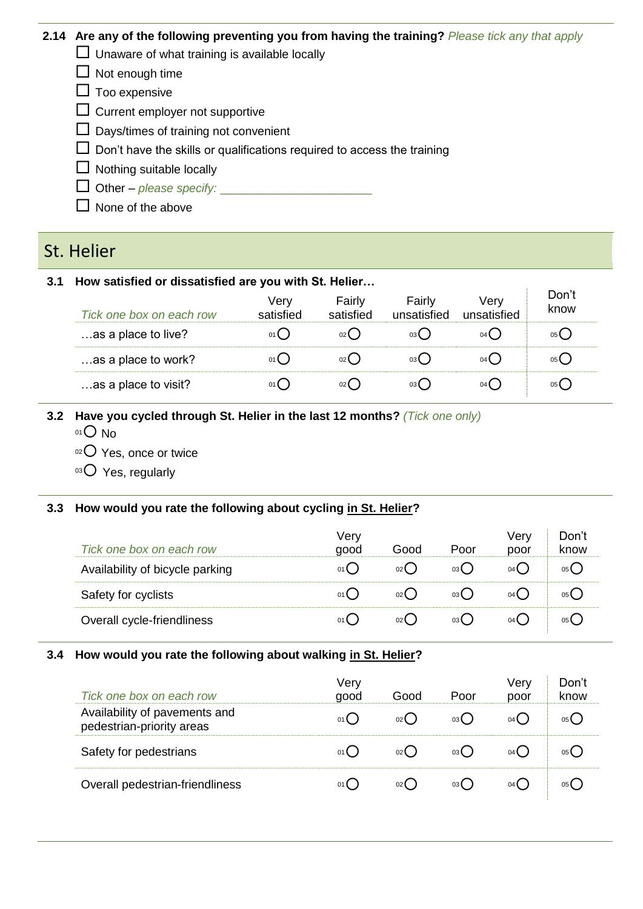#### **2.14 Are any of the following preventing you from having the training?** *Please tick any that apply*

 $\Box$  Unaware of what training is available locally

 $\Box$  Not enough time

- $\Box$  Too expensive
- $\Box$  Current employer not supportive
- $\Box$  Days/times of training not convenient
- $\square$  Don't have the skills or qualifications required to access the training
- $\Box$  Nothing suitable locally
- $\Box$  Other *please specify:*
- $\Box$  None of the above

### St. Helier

#### **3.1 How satisfied or dissatisfied are you with St. Helier…**

| Tick one box on each row | verv<br>satisfied | Fairly<br>satisfied | Fairly<br>unsatisfied | verv<br>unsatisfied | Don't<br>know |
|--------------------------|-------------------|---------------------|-----------------------|---------------------|---------------|
| as a place to live?      |                   |                     | 03 <b>(</b>           | 04 L                |               |
| as a place to work?      | $01$ ( )          | 02 <sup>l</sup>     | 03(                   | $04$ (              |               |
| as a place to visit?     |                   |                     | 03 L                  | 04 L                |               |

#### **3.2 Have you cycled through St. Helier in the last 12 months?** *(Tick one only)*

- $01$  No
- 02 Yes, once or twice
- 03 Yes, regularly

#### **3.3 How would you rate the following about cycling in St. Helier?**

| Tick one box on each row        | Very<br>good  | Good            | Poor        | Verv<br>poor | Don't<br>know |
|---------------------------------|---------------|-----------------|-------------|--------------|---------------|
| Availability of bicycle parking | 01()          | 02 <sup>l</sup> | 03 <b>(</b> | 04 <b>(</b>  | 05 <b>(</b>   |
| Safety for cyclists             | $01$ $\left($ | 02 <sup>l</sup> | 03 <b>(</b> | $04$ (       | 05 L          |
| Overall cycle-friendliness      |               | 02 <sup>l</sup> | 03 (        | $04$ (       | 05 L          |

#### **3.4 How would you rate the following about walking in St. Helier?**

| Tick one box on each row                                   | Verv<br>good | Good | Poor | Verv<br>poor | Don't<br>know |
|------------------------------------------------------------|--------------|------|------|--------------|---------------|
| Availability of pavements and<br>pedestrian-priority areas | $01$ (       | 02 L | 03 L | 04 L         |               |
| Safety for pedestrians                                     |              |      | 03 L |              |               |
| Overall pedestrian-friendliness                            |              |      | 03 L | 04 L         |               |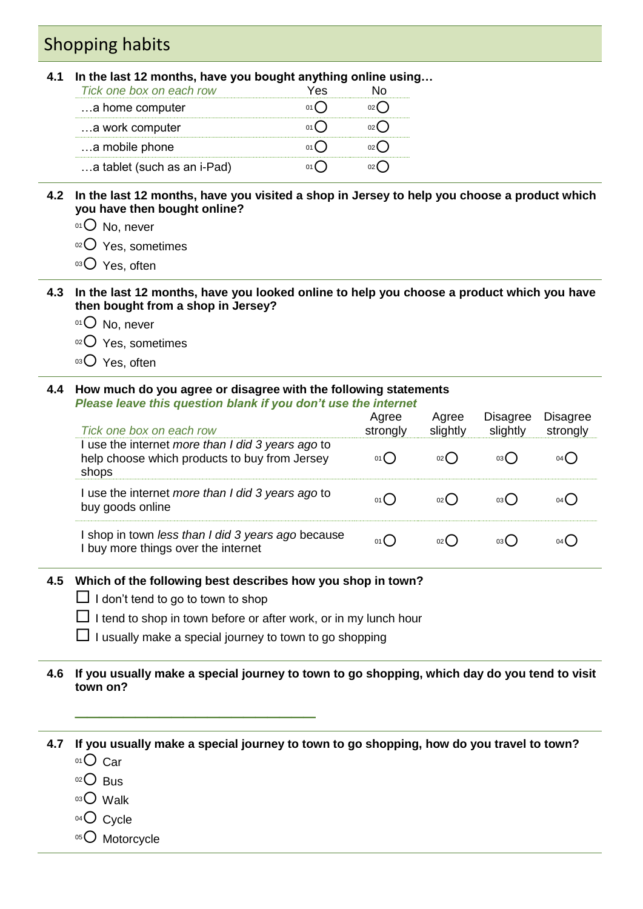# Shopping habits

#### **4.1 In the last 12 months, have you bought anything online using…**

| Tick one box on each row    |  |
|-----------------------------|--|
| a home computer             |  |
| a work computer             |  |
| a mobile phone              |  |
| a tablet (such as an i-Pad) |  |

#### **4.2 In the last 12 months, have you visited a shop in Jersey to help you choose a product which you have then bought online?**

- 01<sup>O</sup> No, never
- 02 Yes, sometimes
- 03 Yes, often

#### **4.3 In the last 12 months, have you looked online to help you choose a product which you have then bought from a shop in Jersey?**

- $01$  No, never
- $02$  Yes, sometimes
- 03 Yes, often

#### **4.4 How much do you agree or disagree with the following statements** *Please leave this question blank if you don't use the internet*

| . .www.com.com.com/www.cirin.com/in/1996/0911/4/099<br>Tick one box on each row                             | Agree<br>strongly | Agree<br>slightly | <b>Disagree</b><br>slightly | <b>Disagree</b><br>strongly |
|-------------------------------------------------------------------------------------------------------------|-------------------|-------------------|-----------------------------|-----------------------------|
| I use the internet more than I did 3 years ago to<br>help choose which products to buy from Jersey<br>shops | 01()              |                   |                             | 04 (                        |
| I use the internet more than I did 3 years ago to<br>buy goods online                                       | 01()              |                   |                             | 04 <b>(</b>                 |
| shop in town less than I did 3 years ago because<br>I buy more things over the internet                     | 01()              |                   |                             |                             |

#### **4.5 Which of the following best describes how you shop in town?**

 $\Box$  I don't tend to go to town to shop

\_\_\_\_\_\_\_\_\_\_\_\_\_\_\_\_\_\_\_\_

- $\Box$  I tend to shop in town before or after work, or in my lunch hour
- $\Box$  I usually make a special journey to town to go shopping

#### **4.6 If you usually make a special journey to town to go shopping, which day do you tend to visit town on?**

#### **4.7 If you usually make a special journey to town to go shopping, how do you travel to town?** 01 Car

- 
- $02$  Bus
- $03$  Walk
- $04$  Cycle
- 05<sup>O</sup> Motorcycle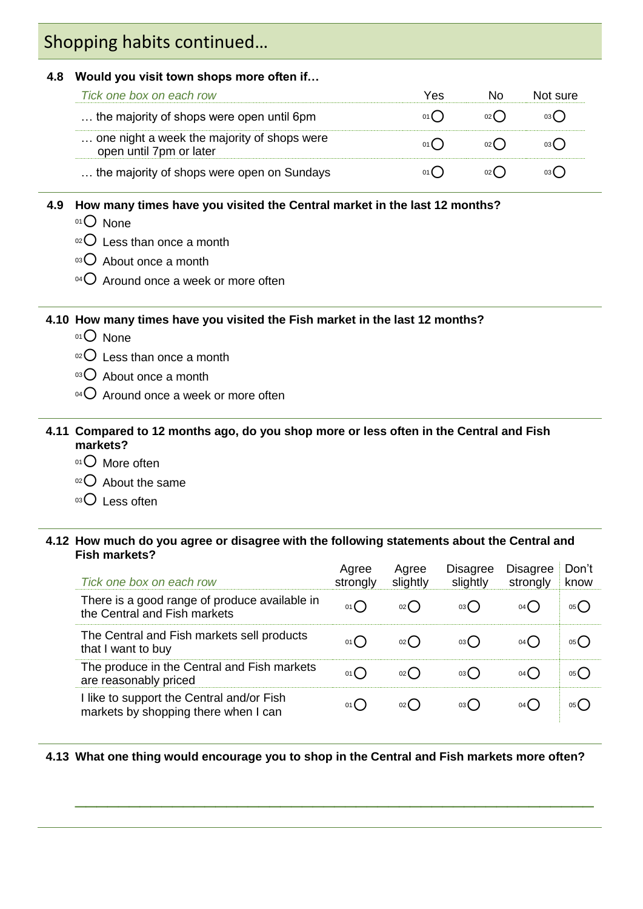# Shopping habits continued…

#### **4.8 Would you visit town shops more often if…**

| Tick one box on each row                                               | Yes |     | Not sure |
|------------------------------------------------------------------------|-----|-----|----------|
| the majority of shops were open until 6pm                              | 01( | 02( |          |
| one night a week the majority of shops were<br>open until 7pm or later |     | 02( |          |
| the majority of shops were open on Sundays                             |     |     |          |

#### **4.9 How many times have you visited the Central market in the last 12 months?**

- $01$  None
- $02$  Less than once a month
- $03$  About once a month
- $04$  Around once a week or more often

#### **4.10 How many times have you visited the Fish market in the last 12 months?**

- 01<sup>O</sup> None
- $02$  Less than once a month
- $03$  About once a month
- $04$  Around once a week or more often

#### **4.11 Compared to 12 months ago, do you shop more or less often in the Central and Fish markets?**

- 01<sup>O</sup> More often
- 02 About the same
- 03 Less often

#### **4.12 How much do you agree or disagree with the following statements about the Central and Fish markets?**

| Tick one box on each row                                                          | Agree<br>strongly | Agree<br>slightly | <b>Disagree</b><br>slightly | <b>Disagree</b><br>strongly | Don't<br>know |
|-----------------------------------------------------------------------------------|-------------------|-------------------|-----------------------------|-----------------------------|---------------|
| There is a good range of produce available in<br>the Central and Fish markets     | 01()              | 02()              | 03()                        | $04$ (                      | 05(           |
| The Central and Fish markets sell products<br>that I want to buy                  | 01()              |                   | 03()                        | 04 (                        | 05 (          |
| The produce in the Central and Fish markets<br>are reasonably priced              | 01()              | 02()              | 03()                        | 04 (                        | 05(           |
| I like to support the Central and/or Fish<br>markets by shopping there when I can | 01()              |                   | 03()                        | $04$ (                      | 05 <b>(</b>   |

#### **4.13 What one thing would encourage you to shop in the Central and Fish markets more often?**

\_\_\_\_\_\_\_\_\_\_\_\_\_\_\_\_\_\_\_\_\_\_\_\_\_\_\_\_\_\_\_\_\_\_\_\_\_\_\_\_\_\_\_\_\_\_\_\_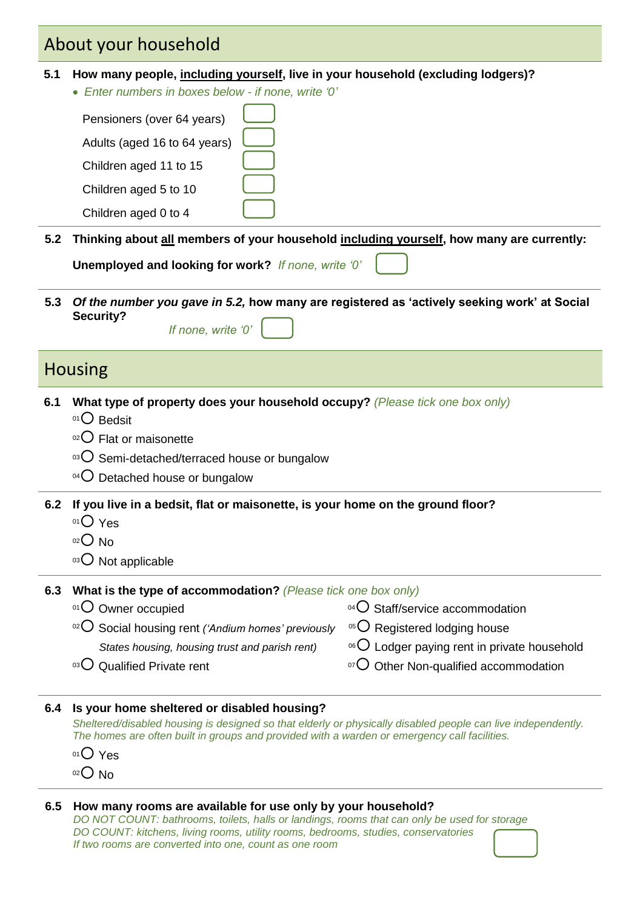## About your household

- **5.1 How many people, including yourself, live in your household (excluding lodgers)?** 
	- *Enter numbers in boxes below - if none, write '0'*

| Pensioners (over 64 years)   |  |
|------------------------------|--|
| Adults (aged 16 to 64 years) |  |
| Children aged 11 to 15       |  |
| Children aged 5 to 10        |  |
| Children aged 0 to 4         |  |
|                              |  |

**5.2 Thinking about all members of your household including yourself, how many are currently:**

**Unemployed and looking for work?** *If none, write '0'*

**5.3** *Of the number you gave in 5.2,* **how many are registered as 'actively seeking work' at Social Security?**  *If none, write '0'*

### **Housing**

- **6.1 What type of property does your household occupy?** *(Please tick one box only)*
	- $01$  Bedsit
	- $02$  Flat or maisonette
	- $03$  Semi-detached/terraced house or bungalow
	- $04$  Detached house or bungalow
- **6.2 If you live in a bedsit, flat or maisonette, is your home on the ground floor?**
	- $01$  Yes
	- $02$  No
	- $03$  Not applicable

|  | 6.3 What is the type of accommodation? (Please tick one box only) |  |  |
|--|-------------------------------------------------------------------|--|--|
|--|-------------------------------------------------------------------|--|--|

- $01$  Owner occupied
- <sup>02</sup> Social housing rent *('Andium homes' previously*  $05$  Registered lodging house

 *States housing, housing trust and parish rent)*

- $06$  Lodger paying rent in private household
- $\rm{^{03}O}$  Qualified Private rent  $\rm{^{07}O}$  Other Non-qualified accommodation

 $^{04}$  $\bigcirc$  Staff/service accommodation

#### **6.4 Is your home sheltered or disabled housing?**

*Sheltered/disabled housing is designed so that elderly or physically disabled people can live independently. The homes are often built in groups and provided with a warden or emergency call facilities.*

- $01$  Yes
- $02$  No

#### **6.5 How many rooms are available for use only by your household?**

*DO NOT COUNT: bathrooms, toilets, halls or landings, rooms that can only be used for storage DO COUNT: kitchens, living rooms, utility rooms, bedrooms, studies, conservatories If two rooms are converted into one, count as one room*

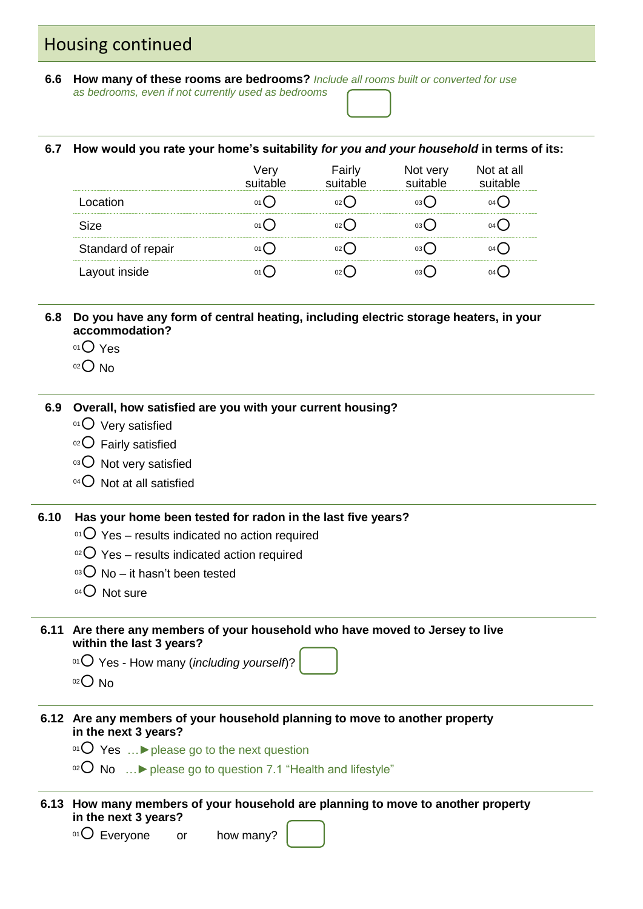### Housing continued

**6.6 How many of these rooms are bedrooms?** *Include all rooms built or converted for use as bedrooms, even if not currently used as bedrooms*

#### **6.7 How would you rate your home's suitability** *for you and your household* **in terms of its:**

|                    | ∙aırlv | Not very | Not at all |
|--------------------|--------|----------|------------|
|                    |        |          |            |
| Size               |        |          |            |
| Standard of repair |        |          |            |
| ayout inside       |        |          |            |

**6.8 Do you have any form of central heating, including electric storage heaters, in your accommodation?**

- 01 Yes
- $02$  No

#### **6.9 Overall, how satisfied are you with your current housing?**

- $01$  Very satisfied
- $02$  Fairly satisfied
- $03$  Not very satisfied
- $04$  Not at all satisfied

#### **6.10 Has your home been tested for radon in the last five years?**

- $01$  Yes results indicated no action required
- $02$  Yes results indicated action required
- $03$  No it hasn't been tested
- $04$  Not sure
- **6.11 Are there any members of your household who have moved to Jersey to live within the last 3 years?**
	- <sup>01</sup> Yes How many (*including yourself*)?
	- $02$  No
- **6.12 Are any members of your household planning to move to another property in the next 3 years?**
	- <sup>01</sup> Yes …**►**please go to the next question
	- $02^{\circ}$  No …  $\triangleright$  please go to question 7.1 "Health and lifestyle"
- **6.13 How many members of your household are planning to move to another property in the next 3 years?**

 $01$  Everyone or how many?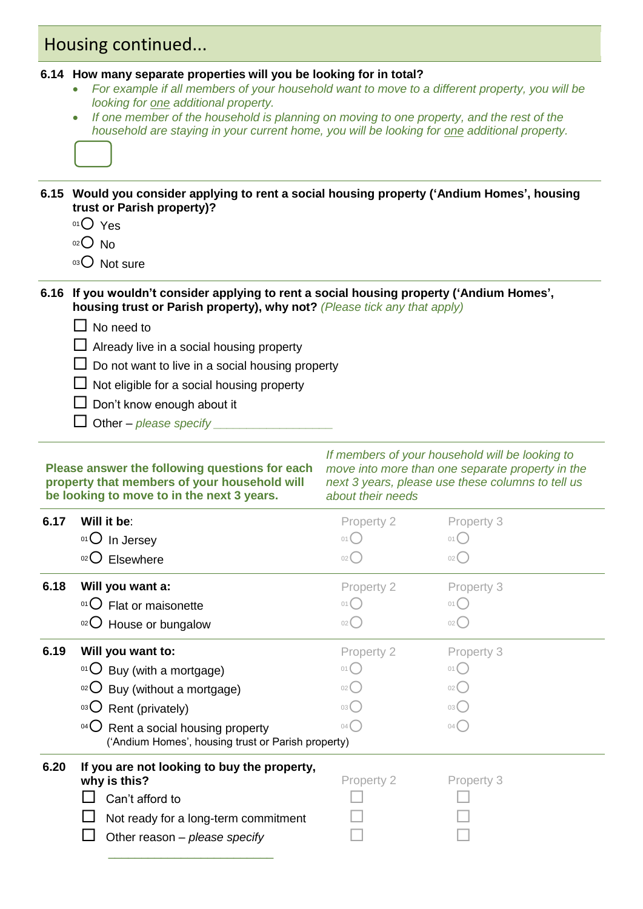### Housing continued...

#### **6.14 How many separate properties will you be looking for in total?**

- *For example if all members of your household want to move to a different property, you will be looking for one additional property.*
- If one member of the household is planning on moving to one property, and the rest of the *household are staying in your current home, you will be looking for one additional property.*



#### **6.15 Would you consider applying to rent a social housing property ('Andium Homes', housing trust or Parish property)?**

- 01<sup>O</sup> Yes
- $02$  No
- 03 Not sure

#### **6.16 If you wouldn't consider applying to rent a social housing property ('Andium Homes', housing trust or Parish property), why not?** *(Please tick any that apply)*

- $\Box$  No need to
- $\Box$  Already live in a social housing property
- $\Box$  Do not want to live in a social housing property
- $\Box$  Not eligible for a social housing property
- $\Box$  Don't know enough about it
- $\Box$  Other *please specify*

#### **Please answer the following questions for each property that members of your household will be looking to move to in the next 3 years.**

*If members of your household will be looking to move into more than one separate property in the next 3 years, please use these columns to tell us about their needs*

| 6.17 | Will it be:                                                                                                                                                                                                                        | Property 2                                         | Property 3                                                     |
|------|------------------------------------------------------------------------------------------------------------------------------------------------------------------------------------------------------------------------------------|----------------------------------------------------|----------------------------------------------------------------|
|      | $01$ In Jersey                                                                                                                                                                                                                     | 01(                                                | 01(                                                            |
|      | $02$ Elsewhere                                                                                                                                                                                                                     | 02(                                                | 02(                                                            |
| 6.18 | Will you want a:                                                                                                                                                                                                                   | Property 2                                         | Property 3                                                     |
|      | <sup>01</sup> $\bigcirc$ Flat or maisonette                                                                                                                                                                                        | 01(                                                | 01(                                                            |
|      | $02$ House or bungalow                                                                                                                                                                                                             | 02(                                                | 02(                                                            |
| 6.19 | Will you want to:<br>$01$ Buy (with a mortgage)<br>$10^{2}$ Buy (without a mortgage)<br>$\mathrm{O}^3$ Rent (privately)<br>$04$ $\bigcirc$<br>Rent a social housing property<br>('Andium Homes', housing trust or Parish property) | Property 2<br>01(<br>02(<br>03 <sup>°</sup><br>04( | Property 3<br>01(<br>02 <sup>°</sup><br>03 <sup>°</sup><br>04( |
| 6.20 | If you are not looking to buy the property,<br>why is this?<br>Can't afford to<br>Not ready for a long-term commitment<br>Other reason - please specify                                                                            | Property 2                                         | Property 3                                                     |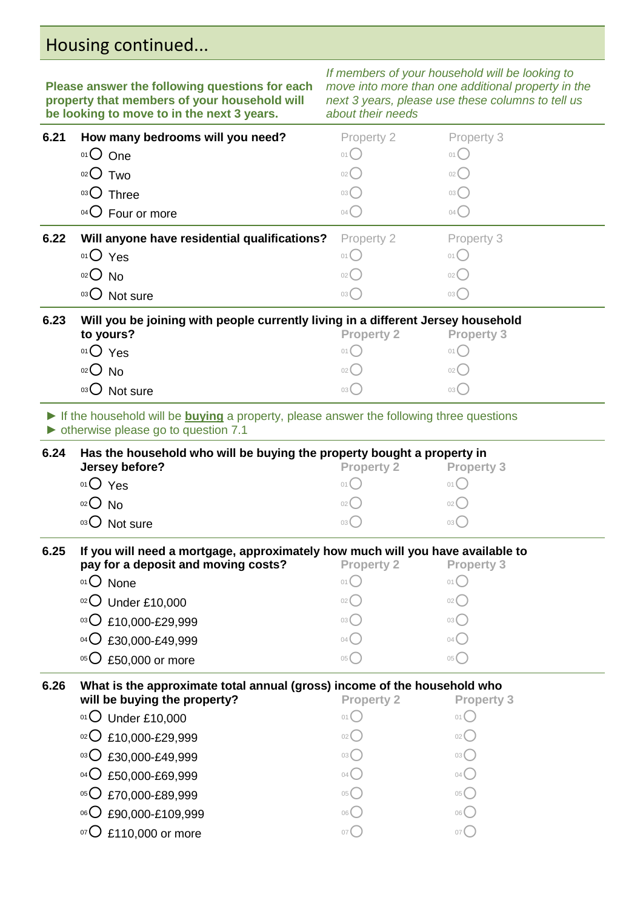# Housing continued...

**Please answer the following questions for each property that members of your household will be looking to move to in the next 3 years.** 

*If members of your household will be looking to move into more than one additional property in the next 3 years, please use these columns to tell us* 

| 6.21<br>How many bedrooms will you need?<br>Property 3<br>Property 2<br>01 One<br>$01$ $\bigcirc$<br>$01$ $\bigcap$<br>$O2O$ Two<br>02<br>02(<br>03 Three<br>03()<br>03(<br>04 O Four or more<br>04<br>04(<br>6.22<br>Will anyone have residential qualifications?<br>Property 2<br>Property 3<br>$01O$ Yes<br>01()<br>01()<br>$02O$ No<br>02 <sup>2</sup><br>02()<br>03 O Not sure<br>03()<br>03(<br>6.23<br>Will you be joining with people currently living in a different Jersey household<br>to yours?<br><b>Property 2</b><br><b>Property 3</b><br>O <sub>1</sub> O <sub>Yes</sub><br>$01$ $\bigcap$<br>01()<br>$02$ No<br>$02$ $\left($<br>02(<br>03 O Not sure<br>$03$ $\bigcirc$<br>03()<br>If the household will be <b>buying</b> a property, please answer the following three questions<br>• otherwise please go to question 7.1<br>Has the household who will be buying the property bought a property in<br>6.24<br>Jersey before?<br><b>Property 2</b><br><b>Property 3</b><br>$01O$ Yes<br>01(<br>01(<br>$O02$ No<br>02(<br>02(<br>03 O Not sure<br>$03$ $\begin{pmatrix} \end{pmatrix}$<br>03(<br>6.25<br>If you will need a mortgage, approximately how much will you have available to<br>pay for a deposit and moving costs?<br><b>Property 2</b><br><b>Property 3</b><br>01 O None<br>01()<br>$01$ $\bigcap$<br>$02$ Under £10,000<br>02(<br>02(<br>$^{03}$ O £10,000-£29,999<br>03(<br>03 (<br>04 C £30,000-£49,999<br>04(<br>04(<br>$05$ <sup>O</sup><br>£50,000 or more<br>05(<br>05(<br>6.26<br>What is the approximate total annual (gross) income of the household who<br>will be buying the property?<br><b>Property 2</b><br><b>Property 3</b><br>$01$ O Under £10,000<br>$01$ $($<br>01(<br>$02$ £10,000-£29,999<br>02(<br>$^{03}$ C £30,000-£49,999<br>03 <sup>°</sup><br>03 <sup>°</sup><br>04<<br>04<<br>£50,000-£69,999<br>$04$ $\bigcup$ | be looking to move to in the next 3 years. | about their needs |  |
|-----------------------------------------------------------------------------------------------------------------------------------------------------------------------------------------------------------------------------------------------------------------------------------------------------------------------------------------------------------------------------------------------------------------------------------------------------------------------------------------------------------------------------------------------------------------------------------------------------------------------------------------------------------------------------------------------------------------------------------------------------------------------------------------------------------------------------------------------------------------------------------------------------------------------------------------------------------------------------------------------------------------------------------------------------------------------------------------------------------------------------------------------------------------------------------------------------------------------------------------------------------------------------------------------------------------------------------------------------------------------------------------------------------------------------------------------------------------------------------------------------------------------------------------------------------------------------------------------------------------------------------------------------------------------------------------------------------------------------------------------------------------------------------------------------------------------------------------------------------------------------|--------------------------------------------|-------------------|--|
|                                                                                                                                                                                                                                                                                                                                                                                                                                                                                                                                                                                                                                                                                                                                                                                                                                                                                                                                                                                                                                                                                                                                                                                                                                                                                                                                                                                                                                                                                                                                                                                                                                                                                                                                                                                                                                                                             |                                            |                   |  |
|                                                                                                                                                                                                                                                                                                                                                                                                                                                                                                                                                                                                                                                                                                                                                                                                                                                                                                                                                                                                                                                                                                                                                                                                                                                                                                                                                                                                                                                                                                                                                                                                                                                                                                                                                                                                                                                                             |                                            |                   |  |
|                                                                                                                                                                                                                                                                                                                                                                                                                                                                                                                                                                                                                                                                                                                                                                                                                                                                                                                                                                                                                                                                                                                                                                                                                                                                                                                                                                                                                                                                                                                                                                                                                                                                                                                                                                                                                                                                             |                                            |                   |  |
|                                                                                                                                                                                                                                                                                                                                                                                                                                                                                                                                                                                                                                                                                                                                                                                                                                                                                                                                                                                                                                                                                                                                                                                                                                                                                                                                                                                                                                                                                                                                                                                                                                                                                                                                                                                                                                                                             |                                            |                   |  |
|                                                                                                                                                                                                                                                                                                                                                                                                                                                                                                                                                                                                                                                                                                                                                                                                                                                                                                                                                                                                                                                                                                                                                                                                                                                                                                                                                                                                                                                                                                                                                                                                                                                                                                                                                                                                                                                                             |                                            |                   |  |
|                                                                                                                                                                                                                                                                                                                                                                                                                                                                                                                                                                                                                                                                                                                                                                                                                                                                                                                                                                                                                                                                                                                                                                                                                                                                                                                                                                                                                                                                                                                                                                                                                                                                                                                                                                                                                                                                             |                                            |                   |  |
|                                                                                                                                                                                                                                                                                                                                                                                                                                                                                                                                                                                                                                                                                                                                                                                                                                                                                                                                                                                                                                                                                                                                                                                                                                                                                                                                                                                                                                                                                                                                                                                                                                                                                                                                                                                                                                                                             |                                            |                   |  |
|                                                                                                                                                                                                                                                                                                                                                                                                                                                                                                                                                                                                                                                                                                                                                                                                                                                                                                                                                                                                                                                                                                                                                                                                                                                                                                                                                                                                                                                                                                                                                                                                                                                                                                                                                                                                                                                                             |                                            |                   |  |
|                                                                                                                                                                                                                                                                                                                                                                                                                                                                                                                                                                                                                                                                                                                                                                                                                                                                                                                                                                                                                                                                                                                                                                                                                                                                                                                                                                                                                                                                                                                                                                                                                                                                                                                                                                                                                                                                             |                                            |                   |  |
|                                                                                                                                                                                                                                                                                                                                                                                                                                                                                                                                                                                                                                                                                                                                                                                                                                                                                                                                                                                                                                                                                                                                                                                                                                                                                                                                                                                                                                                                                                                                                                                                                                                                                                                                                                                                                                                                             |                                            |                   |  |
|                                                                                                                                                                                                                                                                                                                                                                                                                                                                                                                                                                                                                                                                                                                                                                                                                                                                                                                                                                                                                                                                                                                                                                                                                                                                                                                                                                                                                                                                                                                                                                                                                                                                                                                                                                                                                                                                             |                                            |                   |  |
|                                                                                                                                                                                                                                                                                                                                                                                                                                                                                                                                                                                                                                                                                                                                                                                                                                                                                                                                                                                                                                                                                                                                                                                                                                                                                                                                                                                                                                                                                                                                                                                                                                                                                                                                                                                                                                                                             |                                            |                   |  |
|                                                                                                                                                                                                                                                                                                                                                                                                                                                                                                                                                                                                                                                                                                                                                                                                                                                                                                                                                                                                                                                                                                                                                                                                                                                                                                                                                                                                                                                                                                                                                                                                                                                                                                                                                                                                                                                                             |                                            |                   |  |
|                                                                                                                                                                                                                                                                                                                                                                                                                                                                                                                                                                                                                                                                                                                                                                                                                                                                                                                                                                                                                                                                                                                                                                                                                                                                                                                                                                                                                                                                                                                                                                                                                                                                                                                                                                                                                                                                             |                                            |                   |  |
|                                                                                                                                                                                                                                                                                                                                                                                                                                                                                                                                                                                                                                                                                                                                                                                                                                                                                                                                                                                                                                                                                                                                                                                                                                                                                                                                                                                                                                                                                                                                                                                                                                                                                                                                                                                                                                                                             |                                            |                   |  |
|                                                                                                                                                                                                                                                                                                                                                                                                                                                                                                                                                                                                                                                                                                                                                                                                                                                                                                                                                                                                                                                                                                                                                                                                                                                                                                                                                                                                                                                                                                                                                                                                                                                                                                                                                                                                                                                                             |                                            |                   |  |
|                                                                                                                                                                                                                                                                                                                                                                                                                                                                                                                                                                                                                                                                                                                                                                                                                                                                                                                                                                                                                                                                                                                                                                                                                                                                                                                                                                                                                                                                                                                                                                                                                                                                                                                                                                                                                                                                             |                                            |                   |  |
|                                                                                                                                                                                                                                                                                                                                                                                                                                                                                                                                                                                                                                                                                                                                                                                                                                                                                                                                                                                                                                                                                                                                                                                                                                                                                                                                                                                                                                                                                                                                                                                                                                                                                                                                                                                                                                                                             |                                            |                   |  |
|                                                                                                                                                                                                                                                                                                                                                                                                                                                                                                                                                                                                                                                                                                                                                                                                                                                                                                                                                                                                                                                                                                                                                                                                                                                                                                                                                                                                                                                                                                                                                                                                                                                                                                                                                                                                                                                                             |                                            |                   |  |
|                                                                                                                                                                                                                                                                                                                                                                                                                                                                                                                                                                                                                                                                                                                                                                                                                                                                                                                                                                                                                                                                                                                                                                                                                                                                                                                                                                                                                                                                                                                                                                                                                                                                                                                                                                                                                                                                             |                                            |                   |  |
|                                                                                                                                                                                                                                                                                                                                                                                                                                                                                                                                                                                                                                                                                                                                                                                                                                                                                                                                                                                                                                                                                                                                                                                                                                                                                                                                                                                                                                                                                                                                                                                                                                                                                                                                                                                                                                                                             |                                            |                   |  |
|                                                                                                                                                                                                                                                                                                                                                                                                                                                                                                                                                                                                                                                                                                                                                                                                                                                                                                                                                                                                                                                                                                                                                                                                                                                                                                                                                                                                                                                                                                                                                                                                                                                                                                                                                                                                                                                                             |                                            |                   |  |
|                                                                                                                                                                                                                                                                                                                                                                                                                                                                                                                                                                                                                                                                                                                                                                                                                                                                                                                                                                                                                                                                                                                                                                                                                                                                                                                                                                                                                                                                                                                                                                                                                                                                                                                                                                                                                                                                             |                                            |                   |  |
|                                                                                                                                                                                                                                                                                                                                                                                                                                                                                                                                                                                                                                                                                                                                                                                                                                                                                                                                                                                                                                                                                                                                                                                                                                                                                                                                                                                                                                                                                                                                                                                                                                                                                                                                                                                                                                                                             |                                            |                   |  |
|                                                                                                                                                                                                                                                                                                                                                                                                                                                                                                                                                                                                                                                                                                                                                                                                                                                                                                                                                                                                                                                                                                                                                                                                                                                                                                                                                                                                                                                                                                                                                                                                                                                                                                                                                                                                                                                                             |                                            |                   |  |
|                                                                                                                                                                                                                                                                                                                                                                                                                                                                                                                                                                                                                                                                                                                                                                                                                                                                                                                                                                                                                                                                                                                                                                                                                                                                                                                                                                                                                                                                                                                                                                                                                                                                                                                                                                                                                                                                             |                                            |                   |  |
|                                                                                                                                                                                                                                                                                                                                                                                                                                                                                                                                                                                                                                                                                                                                                                                                                                                                                                                                                                                                                                                                                                                                                                                                                                                                                                                                                                                                                                                                                                                                                                                                                                                                                                                                                                                                                                                                             |                                            |                   |  |
|                                                                                                                                                                                                                                                                                                                                                                                                                                                                                                                                                                                                                                                                                                                                                                                                                                                                                                                                                                                                                                                                                                                                                                                                                                                                                                                                                                                                                                                                                                                                                                                                                                                                                                                                                                                                                                                                             |                                            |                   |  |
|                                                                                                                                                                                                                                                                                                                                                                                                                                                                                                                                                                                                                                                                                                                                                                                                                                                                                                                                                                                                                                                                                                                                                                                                                                                                                                                                                                                                                                                                                                                                                                                                                                                                                                                                                                                                                                                                             |                                            |                   |  |
|                                                                                                                                                                                                                                                                                                                                                                                                                                                                                                                                                                                                                                                                                                                                                                                                                                                                                                                                                                                                                                                                                                                                                                                                                                                                                                                                                                                                                                                                                                                                                                                                                                                                                                                                                                                                                                                                             |                                            |                   |  |
|                                                                                                                                                                                                                                                                                                                                                                                                                                                                                                                                                                                                                                                                                                                                                                                                                                                                                                                                                                                                                                                                                                                                                                                                                                                                                                                                                                                                                                                                                                                                                                                                                                                                                                                                                                                                                                                                             |                                            |                   |  |
|                                                                                                                                                                                                                                                                                                                                                                                                                                                                                                                                                                                                                                                                                                                                                                                                                                                                                                                                                                                                                                                                                                                                                                                                                                                                                                                                                                                                                                                                                                                                                                                                                                                                                                                                                                                                                                                                             |                                            |                   |  |
|                                                                                                                                                                                                                                                                                                                                                                                                                                                                                                                                                                                                                                                                                                                                                                                                                                                                                                                                                                                                                                                                                                                                                                                                                                                                                                                                                                                                                                                                                                                                                                                                                                                                                                                                                                                                                                                                             |                                            |                   |  |

<sup>05</sup> £70,000-£89,999 <sup>05</sup> <sup>05</sup>  $\overline{O}$  6  $\overline{O}$  6  $\overline{O}$  6  $\overline{O}$  6  $\overline{O}$  6  $\overline{O}$  6  $\overline{O}$  6  $\overline{O}$  6  $\overline{O}$  6  $\overline{O}$  6  $\overline{O}$  6  $\overline{O}$  6  $\overline{O}$  6  $\overline{O}$  6  $\overline{O}$  6  $\overline{O}$  6  $\overline{O}$  6  $\overline{O}$  6  $\overline{O}$  6  $\overline{O}$  6  $\overline{O}$  £110,000 or more  $\overline{O}$  07  $\overline{O}$  07  $\overline{O}$  07  $\overline{O}$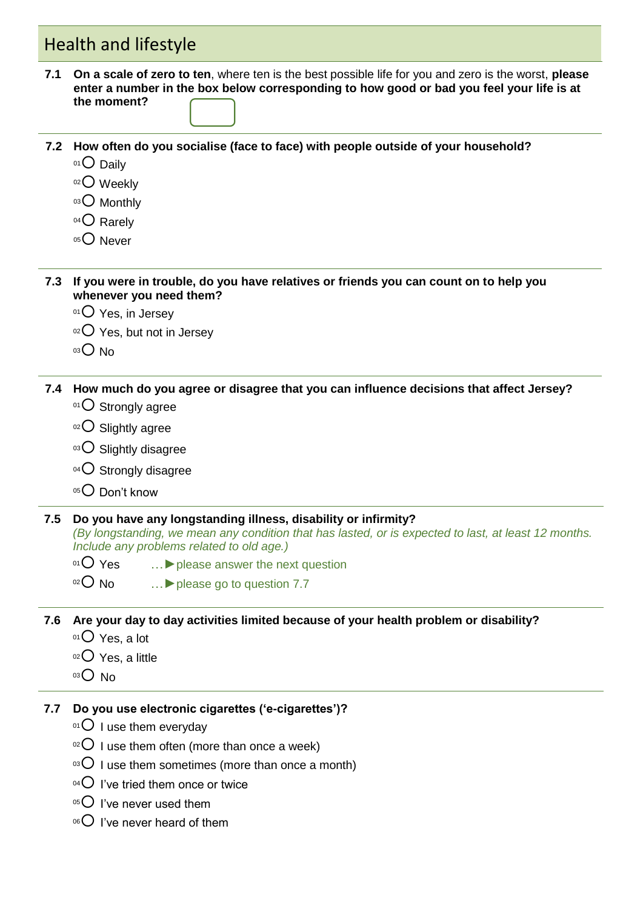# Health and lifestyle

- **7.1 On a scale of zero to ten**, where ten is the best possible life for you and zero is the worst, **please enter a number in the box below corresponding to how good or bad you feel your life is at the moment?**
- **7.2 How often do you socialise (face to face) with people outside of your household?**
	- 01 Daily
	- 02 Weekly
	- 03 Monthly
	- $04$  Rarely
	- $05$  Never

**7.3 If you were in trouble, do you have relatives or friends you can count on to help you whenever you need them?**

- $01$  Yes, in Jersey
- $02$  Yes, but not in Jersey
- $03$  No

**7.4 How much do you agree or disagree that you can influence decisions that affect Jersey?**

- $01$  Strongly agree
- $02$  Slightly agree
- 03 O Slightly disagree
- $04$  Strongly disagree
- $05$  Don't know

#### **7.5 Do you have any longstanding illness, disability or infirmity?**

*(By longstanding, we mean any condition that has lasted, or is expected to last, at least 12 months. Include any problems related to old age.)*

- <sup>01</sup> Yes …**►**please answer the next question
- <sup>02</sup> No …**►**please go to question 7.7

**7.6 Are your day to day activities limited because of your health problem or disability?**

- $01$  Yes, a lot
- $02$  Yes, a little
- $03$  No
- **7.7 Do you use electronic cigarettes ('e-cigarettes')?** 
	- $01$  I use them everyday
	- $02$  I use them often (more than once a week)
	- $03$  I use them sometimes (more than once a month)
	- $04$  I've tried them once or twice
	- $05$  I've never used them
	- $06$  I've never heard of them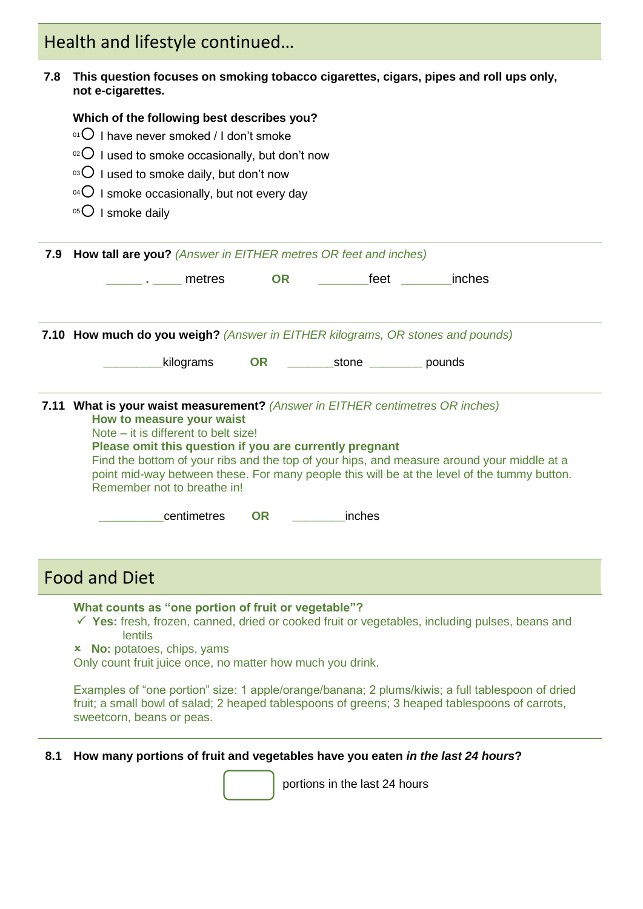# Health and lifestyle continued…

#### **7.8 This question focuses on smoking tobacco cigarettes, cigars, pipes and roll ups only, not e-cigarettes.**

#### **Which of the following best describes you?**

- $01$  I have never smoked / I don't smoke
- $10^{2}$  I used to smoke occasionally, but don't now
- $03$  I used to smoke daily, but don't now
- $04$  I smoke occasionally, but not every day
- $05$  I smoke daily

**7.9 How tall are you?** *(Answer in EITHER metres OR feet and inches)*

| metres | <b>CR</b> | feet | inches |  |
|--------|-----------|------|--------|--|
|        |           |      |        |  |

**7.10 How much do you weigh?** *(Answer in EITHER kilograms, OR stones and pounds)*

**\_\_\_\_\_\_\_\_\_**kilograms **OR \_\_\_\_\_\_\_**stone **\_\_\_\_\_\_\_\_** pounds

|                           | 7.11 What is your waist measurement? (Answer in EITHER centimetres OR inches) |
|---------------------------|-------------------------------------------------------------------------------|
| How to measure your waist |                                                                               |

Note – it is different to belt size!

**Please omit this question if you are currently pregnant**

Find the bottom of your ribs and the top of your hips, and measure around your middle at a point mid-way between these. For many people this will be at the level of the tummy button. Remember not to breathe in!

 **\_\_\_\_\_\_\_\_\_**centimetres **OR \_\_\_\_\_\_\_\_**inches

### Food and Diet

**What counts as "one portion of fruit or vegetable"?**

- **Yes:** fresh, frozen, canned, dried or cooked fruit or vegetables, including pulses, beans and lentils
- **No:** potatoes, chips, yams

Only count fruit juice once, no matter how much you drink.

Examples of "one portion" size: 1 apple/orange/banana; 2 plums/kiwis; a full tablespoon of dried fruit; a small bowl of salad; 2 heaped tablespoons of greens; 3 heaped tablespoons of carrots, sweetcorn, beans or peas.

#### **8.1 How many portions of fruit and vegetables have you eaten** *in the last 24 hours***?**



portions in the last 24 hours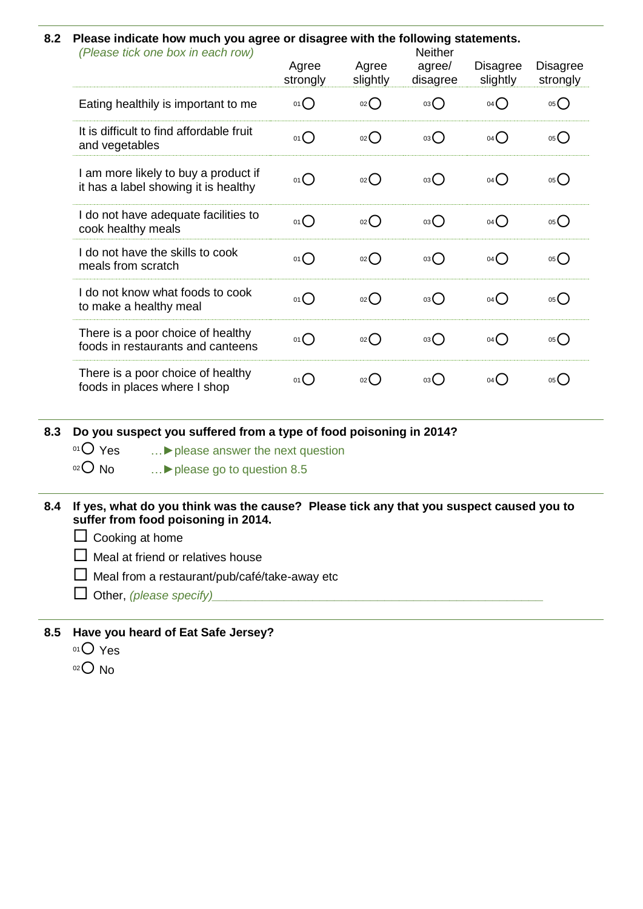#### **7.18.2 Please indicate how much you agree or disagree with the following statements.**

| (Please tick one box in each row)                                            | Agree<br>strongly | Agree<br>slightly | <b>Neither</b><br>agree/<br>disagree | Disagree<br>slightly | <b>Disagree</b><br>strongly |
|------------------------------------------------------------------------------|-------------------|-------------------|--------------------------------------|----------------------|-----------------------------|
| Eating healthily is important to me                                          | $01$ $\bigcirc$   | 02                | 03 <sup>o</sup>                      | $04$ <sup>O</sup>    | 05                          |
| It is difficult to find affordable fruit<br>and vegetables                   | 01O               | O(2)              | 03O                                  | $04$ <sup>O</sup>    | $05$ <sup>O</sup>           |
| I am more likely to buy a product if<br>it has a label showing it is healthy | $01$ $\bigcirc$   | 02                | $03\bigcirc$                         | $04$ <sup>O</sup>    | $05$ <sup>O</sup>           |
| I do not have adequate facilities to<br>cook healthy meals                   | $01$ $\bigcirc$   | 02                | $03\bigcirc$                         | $04$ <sup>O</sup>    | $05$ <sup>O</sup>           |
| I do not have the skills to cook<br>meals from scratch                       | $01$ $\bigcirc$   | 02                | 03O                                  | $04$ <sup>O</sup>    | $05$ <sup>O</sup>           |
| I do not know what foods to cook<br>to make a healthy meal                   | 01O               | 02                | $03\bigcirc$                         | $04$ <sup>O</sup>    | 05                          |
| There is a poor choice of healthy<br>foods in restaurants and canteens       | $01$ $\bigcirc$   | 02                | $03\bigcirc$                         | $04$ <sup>O</sup>    | 05                          |
| There is a poor choice of healthy<br>foods in places where I shop            | 01()              | $_{02}$ $\bigcap$ | 03()                                 | 04()                 | 05()                        |

**8.3 Do you suspect you suffered from a type of food poisoning in 2014?** 

- <sup>01</sup> Yes …**►**please answer the next question
- <sup>02</sup> No …**►**please go to question 8.5
- **8.4 If yes, what do you think was the cause? Please tick any that you suspect caused you to suffer from food poisoning in 2014.**
	- $\Box$  Cooking at home
	- $\Box$  Meal at friend or relatives house
	- $\Box$  Meal from a restaurant/pub/café/take-away etc
	- $\Box$  Other, *(please specify)*
- **8.5 Have you heard of Eat Safe Jersey?** 
	- 01<sup>O</sup> Yes
	- $02$  No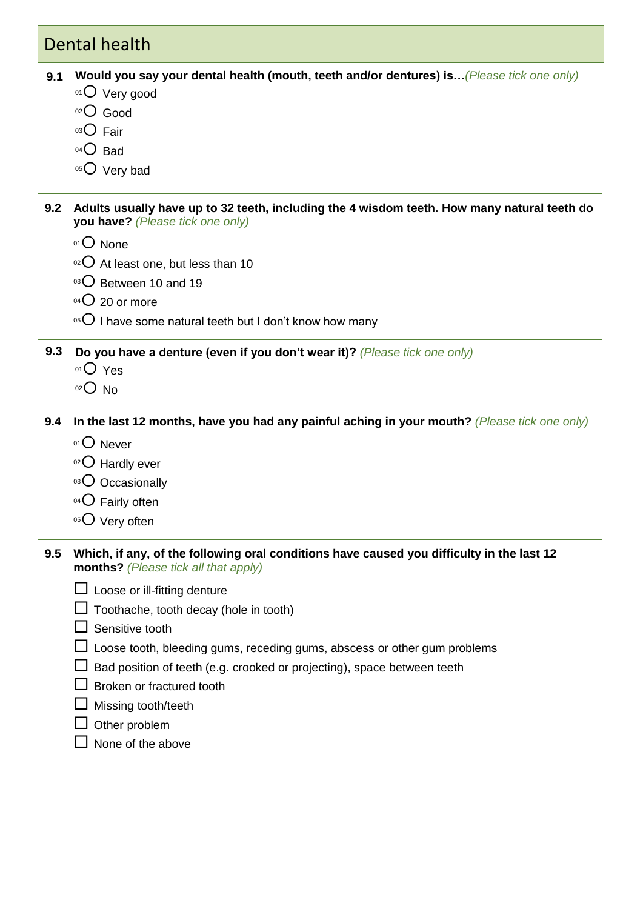## Dental health

- **9.1 4.2 Would you say your dental health (mouth, teeth and/or dentures) is…***(Please tick one only)*
	- 01 Very good
	- 02<sup>O</sup> Good
	- 03 Fair
	- $04$  Bad
	- 05<sup>O</sup> Very bad

**9.2 Adults usually have up to 32 teeth, including the 4 wisdom teeth. How many natural teeth do you have?** *(Please tick one only)*

- $01$  None
- $02$  At least one, but less than 10
- 03 O Between 10 and 19
- $04$  20 or more
- $05$  I have some natural teeth but I don't know how many

**9.3 4.4 Do you have a denture (even if you don't wear it)?** *(Please tick one only)*

- 01<sup>O</sup> Yes
- $02$  No

**9.4 In the last 12 months, have you had any painful aching in your mouth?** *(Please tick one only)*

- 01<sup>O</sup> Never
- $02$  Hardly ever
- 03 Occasionally
- $04$  Fairly often
- $05$  Very often
- **9.5 Which, if any, of the following oral conditions have caused you difficulty in the last 12 months?** *(Please tick all that apply)*
	- $\Box$  Loose or ill-fitting denture
	- $\Box$  Toothache, tooth decay (hole in tooth)
	- $\Box$  Sensitive tooth
	- $\Box$  Loose tooth, bleeding gums, receding gums, abscess or other gum problems
	- $\square$  Bad position of teeth (e.g. crooked or projecting), space between teeth
	- $\Box$  Broken or fractured tooth
	- $\Box$  Missing tooth/teeth
	- $\Box$  Other problem
	- $\Box$  None of the above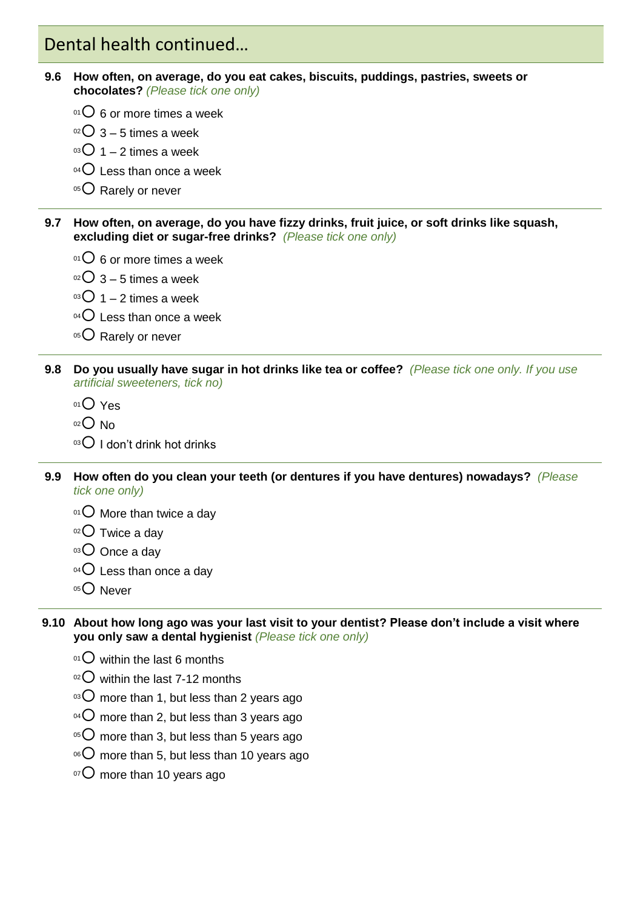### Dental health continued…

- **9.6 How often, on average, do you eat cakes, biscuits, puddings, pastries, sweets or chocolates?** *(Please tick one only)*
	- $01$  6 or more times a week
	- $02$  3 5 times a week
	- $03$  1 2 times a week
	- $04$  Less than once a week
	- 05 Rarely or never
- **9.7 How often, on average, do you have fizzy drinks, fruit juice, or soft drinks like squash, excluding diet or sugar-free drinks?** *(Please tick one only)*
	- $01$  6 or more times a week
	- $02$  3 5 times a week
	- $03$  1 2 times a week
	- $04$  Less than once a week
	- 05 C Rarely or never
- **9.8 Do you usually have sugar in hot drinks like tea or coffee?** *(Please tick one only. If you use artificial sweeteners, tick no)*
	- 01 Yes
	- $02$  No
	- $03$  I don't drink hot drinks
- **9.9 How often do you clean your teeth (or dentures if you have dentures) nowadays?** *(Please tick one only)*
	- $01$  More than twice a day
	- $02$  Twice a dav
	- $03$  Once a day
	- $04$  Less than once a day
	- $05$  Never
- **9.10 About how long ago was your last visit to your dentist? Please don't include a visit where you only saw a dental hygienist** *(Please tick one only)*
	- $01$  within the last 6 months
	- $02$  within the last 7-12 months
	- $\mathrm{^{03}O}$  more than 1, but less than 2 years ago
	- $^{04}$ C more than 2, but less than 3 years ago
	- $105$  more than 3, but less than 5 years ago
	- $10^{\circ}$  more than 5, but less than 10 years ago
	- $10^{10}$  more than 10 years ago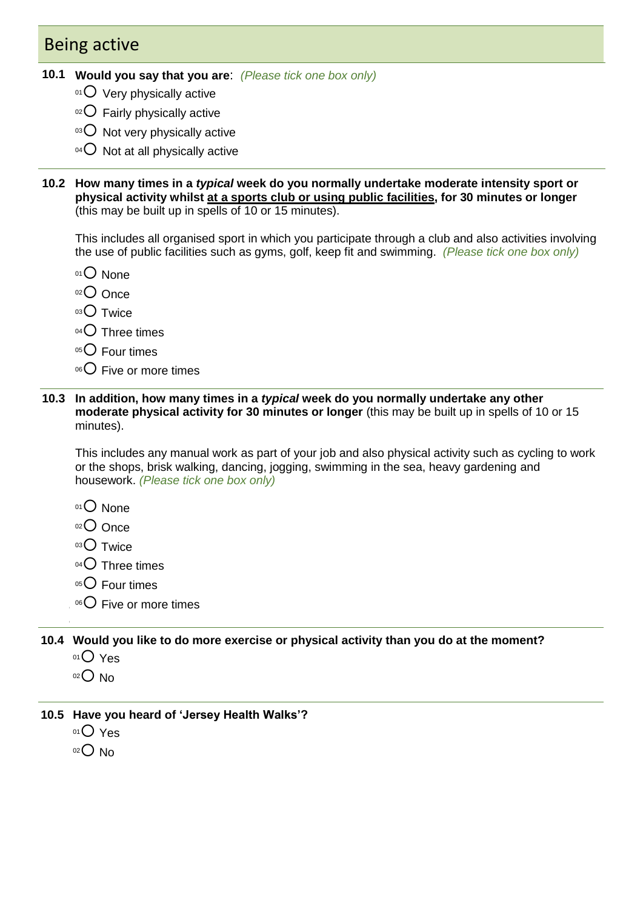### Being active

- **10.1 4.6 Would you say that you are**: *(Please tick one box only)*
	- $01$  Very physically active
	- $02$  Fairly physically active
	- $03$  Not very physically active
	- $04$  Not at all physically active
- **10.2 How many times in a** *typical* **week do you normally undertake moderate intensity sport or physical activity whilst at a sports club or using public facilities, for 30 minutes or longer**  (this may be built up in spells of 10 or 15 minutes).

This includes all organised sport in which you participate through a club and also activities involving the use of public facilities such as gyms, golf, keep fit and swimming. *(Please tick one box only)*

- 01<sup>O</sup> None
- 02 Once
- $03$  Twice
- $04$  Three times
- $05$  Four times
- $06$  Five or more times
- **10.3 4.7 4.8 In addition, how many times in a** *typical* **week do you normally undertake any other moderate physical activity for 30 minutes or longer** (this may be built up in spells of 10 or 15 minutes).

**4.10** This includes any manual work as part of your job and also physical activity such as cycling to work or the shops, brisk walking, dancing, jogging, swimming in the sea, heavy gardening and housework. *(Please tick one box only)*

- $01$  None
- $02$  Once
- $03$  Twice
- $04$  Three times
- $05$  Four times
- **4.12** <sup>06</sup> Five or more times

**10.4 Would you like to do more exercise or physical activity than you do at the moment?**

 $01$  Yes

**4.13**

- $02$  No
- **10.5 Have you heard of 'Jersey Health Walks'?**
	- $01$  Yes
	- $02$  No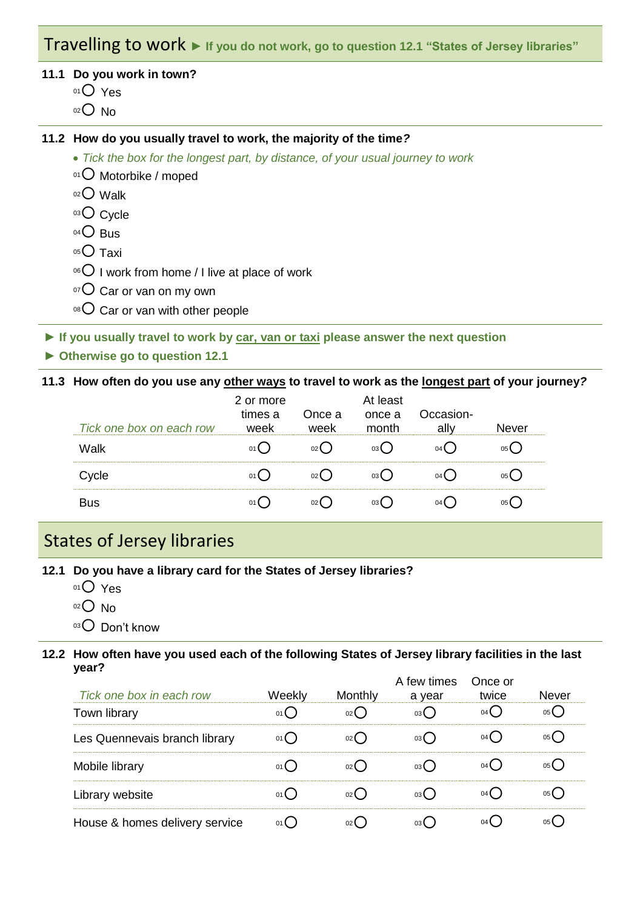### Travelling to work **► If you do not work, go to question 12.1 "States of Jersey libraries"**

#### **11.1 Do you work in town?**

- 01<sup>O</sup> Yes
- $02$  No

#### **11.2 How do you usually travel to work, the majority of the time***?*

- *Tick the box for the longest part, by distance, of your usual journey to work*
- 01 O Motorbike / moped
- $02$  Walk
- 03<sup>O</sup> Cycle
- $04$  Bus
- $05$  Taxi
- $06$  I work from home / I live at place of work
- $107$  Car or van on my own
- $08$  Car or van with other people

**► If you usually travel to work by car, van or taxi please answer the next question**

**► Otherwise go to question 12.1**

#### **11.3 How often do you use any other ways to travel to work as the longest part of your journey***?*

| Tick one box on each row | 2 or more<br>times a | Once a<br>WAAK | At least<br>once a<br>month | Occasion- | 191/9r |
|--------------------------|----------------------|----------------|-----------------------------|-----------|--------|
| Walk                     |                      |                |                             |           |        |
|                          |                      |                |                             |           |        |
|                          |                      |                |                             |           |        |

# States of Jersey libraries

- **12.1 Do you have a library card for the States of Jersey libraries?**
	- 01<sup>O</sup> Yes
	- $02$  No
	- 03 Don't know

#### **12.2 How often have you used each of the following States of Jersey library facilities in the last year?**

| Tick one box in each row       | Weekly | Monthly         | A few times<br>a year | Once or<br>twice | <b>Never</b> |
|--------------------------------|--------|-----------------|-----------------------|------------------|--------------|
| Town library                   |        | 02(             | 03(                   | 04 (             | 05 L         |
| Les Quennevais branch library  |        | 02 <sub>l</sub> | 03 (                  | 04 L             |              |
| Mobile library                 |        | 02              | 03(                   | 04 L             |              |
| Library website                |        | 021             | 03 (                  | 04 L             |              |
| House & homes delivery service |        |                 | 03 (                  |                  |              |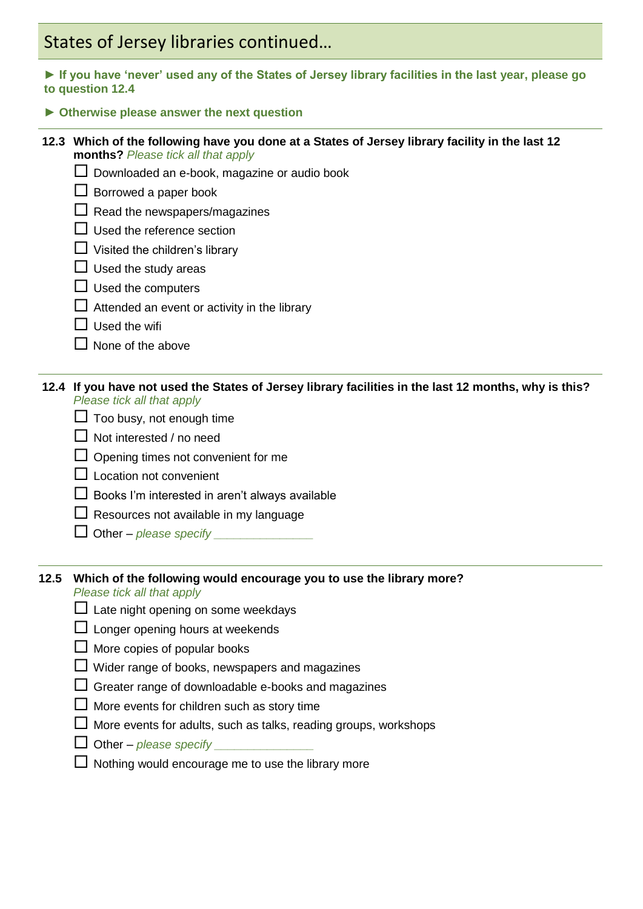# States of Jersey libraries continued…

**► If you have 'never' used any of the States of Jersey library facilities in the last year, please go to question 12.4**

**► Otherwise please answer the next question**

#### **12.3 Which of the following have you done at a States of Jersey library facility in the last 12 months?** *Please tick all that apply*

- $\Box$  Downloaded an e-book, magazine or audio book
- $\Box$  Borrowed a paper book
- $\Box$  Read the newspapers/magazines
- $\Box$  Used the reference section
- $\Box$  Visited the children's library
- $\Box$  Used the study areas
- $\Box$  Used the computers
- $\Box$  Attended an event or activity in the library
- $\Box$  Used the wifi
- $\Box$  None of the above

#### **12.4 If you have not used the States of Jersey library facilities in the last 12 months, why is this?**  *Please tick all that apply*

- $\Box$  Too busy, not enough time
- $\Box$  Not interested / no need
- $\Box$  Opening times not convenient for me
- **□** Location not convenient
- $\Box$  Books I'm interested in aren't always available
- $\Box$  Resources not available in my language
- Other *please specify \_\_\_\_\_\_\_\_\_\_\_\_\_\_\_*

#### **12.5 Which of the following would encourage you to use the library more?**

*Please tick all that apply*

- $\Box$  Late night opening on some weekdays
- $\Box$  Longer opening hours at weekends
- $\Box$  More copies of popular books
- $\Box$  Wider range of books, newspapers and magazines
- $\Box$  Greater range of downloadable e-books and magazines
- $\Box$  More events for children such as story time
- $\Box$  More events for adults, such as talks, reading groups, workshops
- $\Box$  Other *please specify*
- $\Box$  Nothing would encourage me to use the library more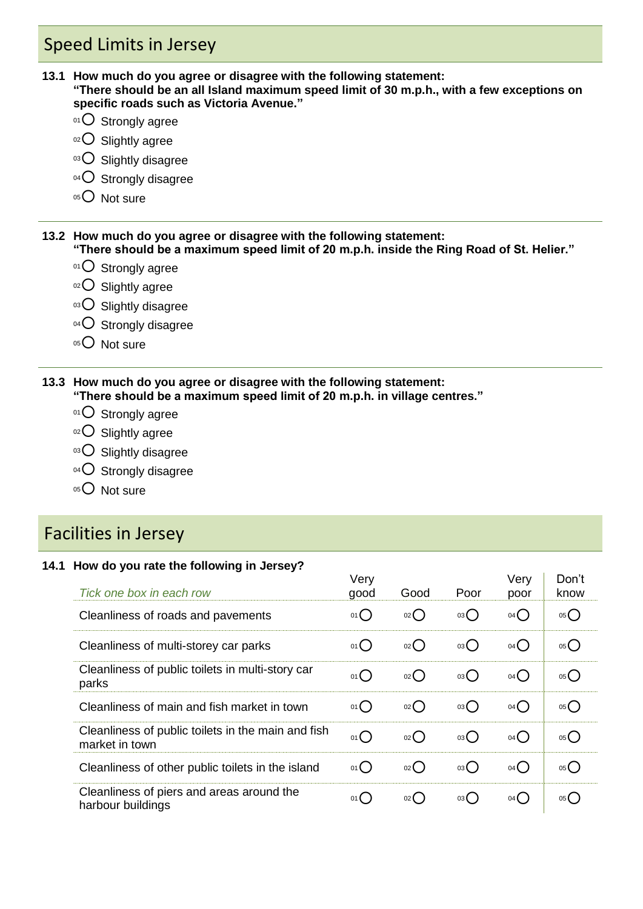# Speed Limits in Jersey

- **13.1 How much do you agree or disagree with the following statement: "There should be an all Island maximum speed limit of 30 m.p.h., with a few exceptions on specific roads such as Victoria Avenue."**
	- 01 O Strongly agree
	- $02$  Slightly agree
	- 03 O Slightly disagree
	- 04 O Strongly disagree
	- 05 O Not sure

**13.2 How much do you agree or disagree with the following statement: "There should be a maximum speed limit of 20 m.p.h. inside the Ring Road of St. Helier."** 

- $01$  Strongly agree
- $02$  Slightly agree
- 03 O Slightly disagree
- 04 O Strongly disagree
- 05<sup>O</sup> Not sure

#### **13.3 How much do you agree or disagree with the following statement: "There should be a maximum speed limit of 20 m.p.h. in village centres."**

- $01$  Strongly agree
- 02 O Slightly agree
- 03 O Slightly disagree
- $04$  Strongly disagree
- $05$  Not sure

### Facilities in Jersey

#### **14.1 How do you rate the following in Jersey?**

| Tick one box in each row                                             | Very<br>good | Good       | Poor | Very<br>poor    | Don't<br>know     |
|----------------------------------------------------------------------|--------------|------------|------|-----------------|-------------------|
| Cleanliness of roads and pavements                                   | 01()         | 02         | 03   | $04$ $\bigcirc$ | $05$ <sup>O</sup> |
| Cleanliness of multi-storey car parks                                | 01()         | 02         | 03() | 04()            | $05$ <sup>O</sup> |
| Cleanliness of public toilets in multi-story car<br>parks            | 01()         | 02()       | 03() | 04()            | 05                |
| Cleanliness of main and fish market in town                          | 01()         | 02()       | 03() | 04()            | 05()              |
| Cleanliness of public toilets in the main and fish<br>market in town | 01()         | $_{02}$ () | 03() | 04()            | $05$ <sup>O</sup> |
| Cleanliness of other public toilets in the island                    | 01()         | 02         | 03() | 04()            | 05()              |
| Cleanliness of piers and areas around the<br>harbour buildings       | 01()         | $02$ (     | 03() | 04()            | 05()              |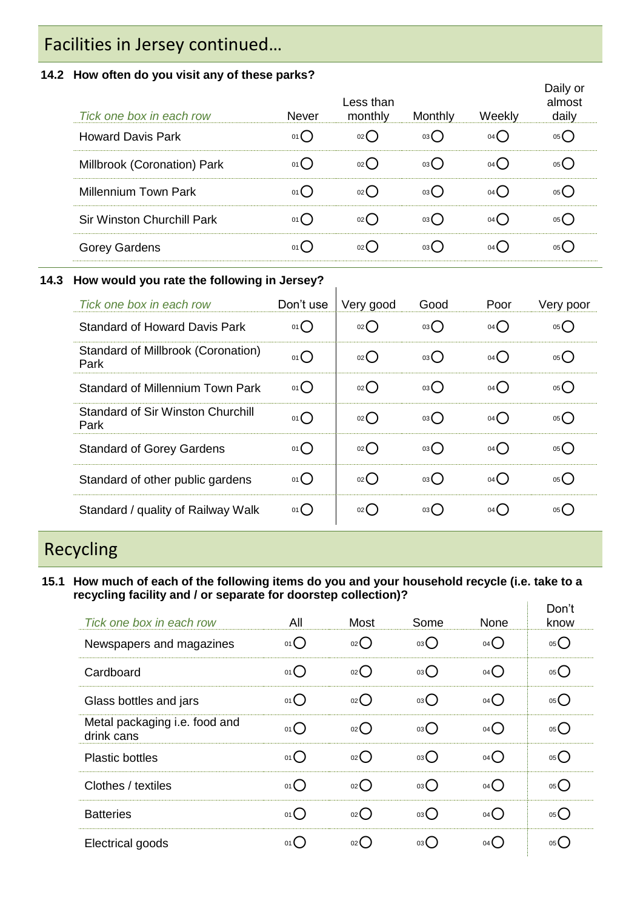# Facilities in Jersey continued…

#### **14.2 How often do you visit any of these parks?**

| Tick one box in each row          | <b>Never</b> | Less than<br>monthly | Monthly | Weekly | Daily or<br>almost<br>daily |
|-----------------------------------|--------------|----------------------|---------|--------|-----------------------------|
| <b>Howard Davis Park</b>          | 01()         | 02()                 | 03()    | 04()   | 05(                         |
| Millbrook (Coronation) Park       | 01()         | 02()                 | 03()    | 04()   | 05(                         |
| Millennium Town Park              | 01()         | 02()                 | 03()    | 04()   | $05($ )                     |
| <b>Sir Winston Churchill Park</b> | 01()         | 02()                 | 03()    | 04()   | 05(                         |
| <b>Gorey Gardens</b>              | $01$ $($     | 02()                 | 03(     | 04()   | 05(                         |

#### **14.3 How would you rate the following in Jersey?**

| Tick one box in each row                         | Don't use       | Very good | Good | Poor              | Very poor         |
|--------------------------------------------------|-----------------|-----------|------|-------------------|-------------------|
| <b>Standard of Howard Davis Park</b>             | $01$ $\bigcirc$ | 02        | 03() | $04$ <sup>O</sup> | 05()              |
| Standard of Millbrook (Coronation)<br>Park       | $01$ $\bigcirc$ | 02        | 03() | $04$ <sup>O</sup> | $05$ <sup>O</sup> |
| <b>Standard of Millennium Town Park</b>          | $01$ $\bigcirc$ | 02        | 03() | $04$ <sup>O</sup> | 05()              |
| <b>Standard of Sir Winston Churchill</b><br>Park | 01()            | 02        | 03() | 04()              | 05()              |
| <b>Standard of Gorey Gardens</b>                 | 01              | O(2)      | 03() | $04$ <sup>O</sup> | 05                |
| Standard of other public gardens                 | $01$ $\bigcirc$ | O(2)      | 03() | 04()              | 05()              |
| Standard / quality of Railway Walk               | 01()            | 02        | 03() | 04()              | 05()              |

# Recycling

**15.1 How much of each of the following items do you and your household recycle (i.e. take to a recycling facility and / or separate for doorstep collection)?**  $\mathbf{q}^{(1)}$  .  $\Box$ 

| Tick one box in each row                    | All             | <b>Most</b>        | Some | None              | Don't<br>know     |
|---------------------------------------------|-----------------|--------------------|------|-------------------|-------------------|
| Newspapers and magazines                    | $01$ $\bigcirc$ | 02                 | 03   | $04$ $\bigcirc$   | 05                |
| Cardboard                                   | 01()            | $_{02}$ $\bigcirc$ | 03   | $04$ $\bigcirc$   | 05()              |
| Glass bottles and jars                      | 01()            | $_{02}$ $\bigcirc$ | 03   | $04$ $\bigcirc$   | 05()              |
| Metal packaging i.e. food and<br>drink cans | 01()            | 02                 | 03   | $04$ <sup>O</sup> | 05                |
| <b>Plastic bottles</b>                      | 01()            | $02$ $\bigcirc$    | 03() | $04$ $\bigcirc$   | 05()              |
| Clothes / textiles                          | 01()            | $_{02}()$          | 03() | $04$ $\bigcirc$   | 05()              |
| <b>Batteries</b>                            | 01()            | $02$ $\bigcirc$    | 03() | $04$ <sup>O</sup> | $05$ <sup>O</sup> |
| Electrical goods                            | 01()            | $02$ (             | 03(  | 04()              | 05()              |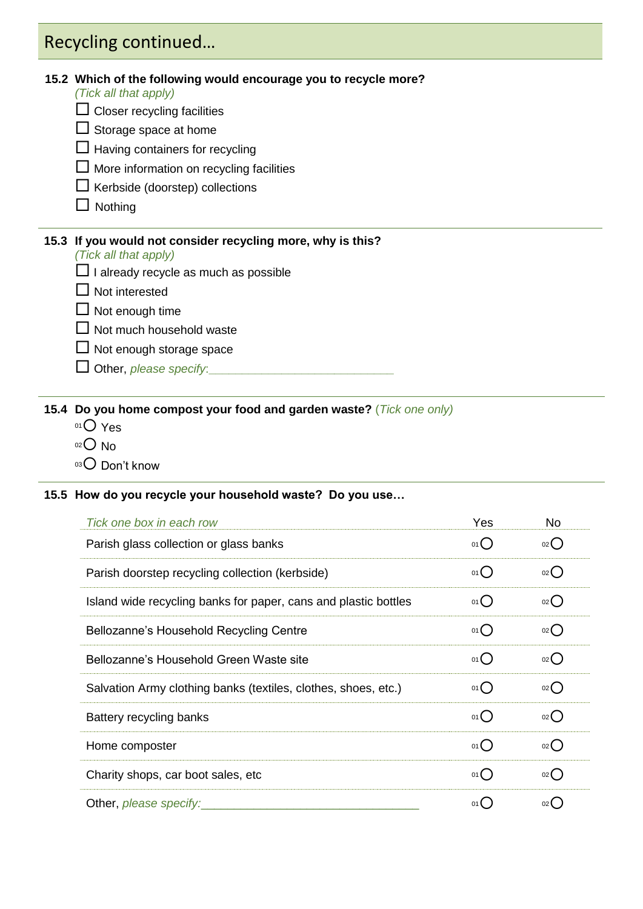# Recycling continued…

#### **15.2 Which of the following would encourage you to recycle more?**

*(Tick all that apply)*

- $\Box$  Closer recycling facilities
- $\square$  Storage space at home
- $\Box$  Having containers for recycling
- $\Box$  More information on recycling facilities
- $\Box$  Kerbside (doorstep) collections
- $\Box$  Nothing

#### **15.3 If you would not consider recycling more, why is this?**

#### *(Tick all that apply)*

- $\Box$  I already recycle as much as possible
- $\Box$  Not interested
- $\Box$  Not enough time
- $\Box$  Not much household waste
- $\Box$  Not enough storage space
- Other, *please specify*:**\_\_\_\_\_\_\_\_\_\_\_\_\_\_\_\_\_\_\_\_\_\_\_\_\_\_\_\_**

#### **15.4 Do you home compost your food and garden waste?** (*Tick one only)*

- $01$  Yes
- $02$  No
- 03 Don't know

#### **15.5 How do you recycle your household waste? Do you use…**

| Tick one box in each row                                        | Yes            | <b>No</b>          |
|-----------------------------------------------------------------|----------------|--------------------|
| Parish glass collection or glass banks                          | 01()           | $_{02}$ $\bigcirc$ |
| Parish doorstep recycling collection (kerbside)                 | $01$ $\bigcap$ | 02                 |
| Island wide recycling banks for paper, cans and plastic bottles | 01()           | $02$ $\bigcirc$    |
| Bellozanne's Household Recycling Centre                         | 01()           | $_{02}$ ()         |
| Bellozanne's Household Green Waste site                         | 01()           | $_{02}()$          |
| Salvation Army clothing banks (textiles, clothes, shoes, etc.)  | 01()           | $_{02}()$          |
| Battery recycling banks                                         | 01()           | 02()               |
| Home composter                                                  | 01()           | $_{02}()$          |
| Charity shops, car boot sales, etc.                             | 01()           | $_{02}( )$         |
| Other, <i>please specify:</i>                                   | $01$ (         | $02$ (             |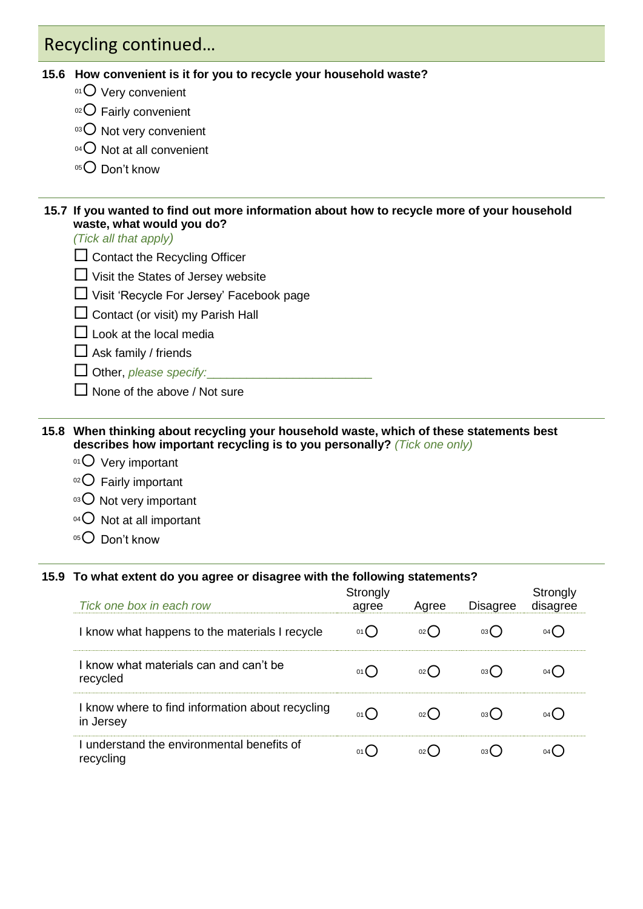# Recycling continued…

#### **15.6 How convenient is it for you to recycle your household waste?**

- $01$  Very convenient
- $02$  Fairly convenient
- 03 O Not very convenient
- $04$  Not at all convenient
- 05 Don't know

#### **15.7 If you wanted to find out more information about how to recycle more of your household waste, what would you do?**

*(Tick all that apply)*

- $\square$  Contact the Recycling Officer
- $\Box$  Visit the States of Jersey website
- Visit 'Recycle For Jersey' Facebook page
- $\square$  Contact (or visit) my Parish Hall
- $\square$  Look at the local media
- $\square$  Ask family / friends
- $\Box$  Other, *please specify:*
- $\Box$  None of the above / Not sure

#### **15.8 When thinking about recycling your household waste, which of these statements best describes how important recycling is to you personally?** *(Tick one only)*

- $01$  Very important
- $02$  Fairly important
- 03 O Not very important
- $04$  Not at all important
- 05<sup>O</sup> Don't know

#### **15.9 To what extent do you agree or disagree with the following statements?**

| Tick one box in each row                                      | Strongly<br>agree | Agree           | <b>Disagree</b> | Strongly<br>disagree |
|---------------------------------------------------------------|-------------------|-----------------|-----------------|----------------------|
| I know what happens to the materials I recycle                | 01()              | 02()            | 03()            | 04(                  |
| I know what materials can and can't be<br>recycled            | 01()              | 02(             | 03(             | 04 (                 |
| I know where to find information about recycling<br>in Jersey | 01()              | 02()            | 03()            | 04 (                 |
| I understand the environmental benefits of<br>recycling       | 01(               | 02 <sup>l</sup> | 03(             |                      |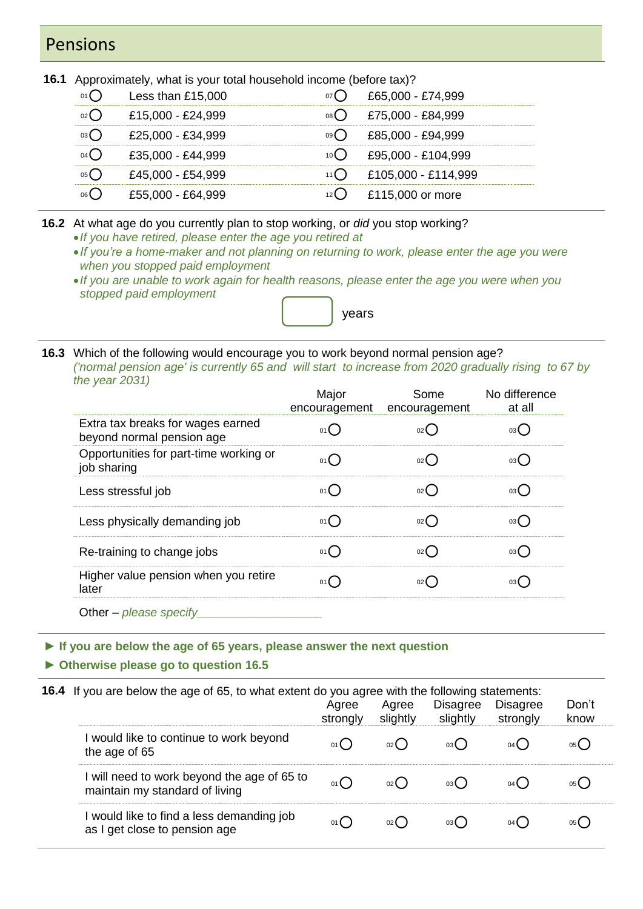### Pensions

**16.1** Approximately, what is your total household income (before tax)?

| Less than $£15,000$ | £65,000 - £74,999   |
|---------------------|---------------------|
| £15,000 - £24,999   | £75,000 - £84,999   |
| £25,000 - £34,999   | £85,000 - £94,999   |
| £35,000 - £44,999   | £95,000 - £104,999  |
| £45.000 - £54.999   | £105,000 - £114,999 |
| £55,000 - £64,999   | £115,000 or more    |
|                     |                     |

**16.2** At what age do you currently plan to stop working, or *did* you stop working?

- *If you have retired, please enter the age you retired at*
- *If you're a home-maker and not planning on returning to work, please enter the age you were when you stopped paid employment*
- *If you are unable to work again for health reasons, please enter the age you were when you stopped paid employment*



**16.3** Which of the following would encourage you to work beyond normal pension age? *('normal pension age' is currently 65 and will start to increase from 2020 gradually rising to 67 by the year 2031)*

|                                                                                                                                                                                                                                                                                                                                                                                                        | Major<br>encouragement                    | Some<br>encouragement | No difference<br>at all |
|--------------------------------------------------------------------------------------------------------------------------------------------------------------------------------------------------------------------------------------------------------------------------------------------------------------------------------------------------------------------------------------------------------|-------------------------------------------|-----------------------|-------------------------|
| Extra tax breaks for wages earned<br>beyond normal pension age                                                                                                                                                                                                                                                                                                                                         | $01$ <sup><math>\blacksquare</math></sup> | 02 <sup>0</sup>       | 03 (                    |
| Opportunities for part-time working or<br>job sharing                                                                                                                                                                                                                                                                                                                                                  | 01()                                      | $02$ (                | 03 (                    |
| Less stressful job                                                                                                                                                                                                                                                                                                                                                                                     | $01$ <sup><math>\sim</math></sup>         | $02$ (                | 03 (                    |
| Less physically demanding job                                                                                                                                                                                                                                                                                                                                                                          | 01()                                      | $02$ (                | 03 (                    |
| Re-training to change jobs                                                                                                                                                                                                                                                                                                                                                                             | 01()                                      | 02                    | 03 (                    |
| Higher value pension when you retire<br>later                                                                                                                                                                                                                                                                                                                                                          | $01$ (                                    | 02                    | 03 L                    |
| $\bigcap_{k \geq 0} \bigcup_{n=1}^{\infty} \bigcap_{k=1}^{\infty} \bigcap_{k=1}^{\infty} \bigcap_{k=1}^{\infty} \bigcap_{k=1}^{\infty} \bigcap_{k=1}^{\infty} \bigcap_{k=1}^{\infty} \bigcap_{k=1}^{\infty} \bigcap_{k=1}^{\infty} \bigcap_{k=1}^{\infty} \bigcap_{k=1}^{\infty} \bigcap_{k=1}^{\infty} \bigcap_{k=1}^{\infty} \bigcap_{k=1}^{\infty} \bigcap_{k=1}^{\infty} \bigcap_{k=1}^{\infty} \$ |                                           |                       |                         |

Other – *please specify\_\_\_\_\_\_\_\_\_\_\_\_\_\_\_\_\_\_\_*

**► If you are below the age of 65 years, please answer the next question**

**► Otherwise please go to question 16.5**

**16.4** If you are below the age of 65, to what extent do you agree with the following statements:

|                                                                               | Agree<br>strongly | Agree<br>slightly | <b>Disagree</b><br>slightly | <b>Disagree</b><br>strongly | Don't<br>know |
|-------------------------------------------------------------------------------|-------------------|-------------------|-----------------------------|-----------------------------|---------------|
| would like to continue to work beyond<br>the age of 65                        |                   | $02$ (            | 03 <b>(</b>                 | 04 (                        |               |
| I will need to work beyond the age of 65 to<br>maintain my standard of living | 01()              | $02$ (            | 03 (                        | 04 (                        | 05 <b>(</b>   |
| would like to find a less demanding job<br>as I get close to pension age      | 01(               | 02 <sup>l</sup>   | 03 (                        | 04 (                        |               |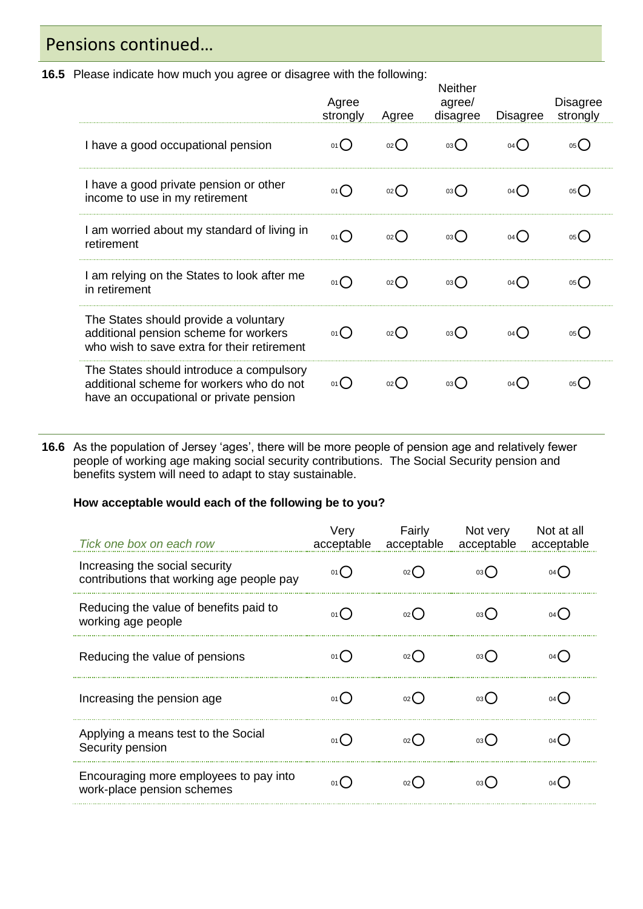### Pensions continued…

**16.5** Please indicate how much you agree or disagree with the following:

|                                                                                                                                 | Agree<br>strongly | Agree              | Neither<br>agree/<br>disagree | Disagree | <b>Disagree</b><br>strongly |
|---------------------------------------------------------------------------------------------------------------------------------|-------------------|--------------------|-------------------------------|----------|-----------------------------|
| I have a good occupational pension                                                                                              | 01()              | 02()               | 03()                          | 04()     | 05(                         |
| I have a good private pension or other<br>income to use in my retirement                                                        | 01()              | $_{02}$ $\bigcirc$ | 03()                          | 04()     | 05(                         |
| I am worried about my standard of living in<br>retirement                                                                       | 01()              | $02$ $\bigcirc$    | 03()                          | 04()     | 05()                        |
| I am relying on the States to look after me<br>in retirement                                                                    | 01()              | 02                 | 03()                          | 04()     | 05()                        |
| The States should provide a voluntary<br>additional pension scheme for workers<br>who wish to save extra for their retirement   | 01()              | $_{02}$ $\bigcirc$ | 03()                          | 04()     | 05(                         |
| The States should introduce a compulsory<br>additional scheme for workers who do not<br>have an occupational or private pension | 01()              | $_{02}$ ()         | 03()                          | 04()     | $05$ (                      |

**16.6** As the population of Jersey 'ages', there will be more people of pension age and relatively fewer people of working age making social security contributions. The Social Security pension and benefits system will need to adapt to stay sustainable.

#### **How acceptable would each of the following be to you?**

| Tick one box on each row                                                    | Very<br>acceptable | Fairly | Not very<br>acceptable acceptable acceptable | Not at all |
|-----------------------------------------------------------------------------|--------------------|--------|----------------------------------------------|------------|
| Increasing the social security<br>contributions that working age people pay |                    |        |                                              |            |
| Reducing the value of benefits paid to<br>working age people                |                    |        |                                              |            |
| Reducing the value of pensions                                              |                    |        |                                              |            |
| Increasing the pension age                                                  |                    |        |                                              |            |
| Applying a means test to the Social<br>Security pension                     |                    |        |                                              |            |
| Encouraging more employees to pay into<br>work-place pension schemes        |                    |        |                                              |            |